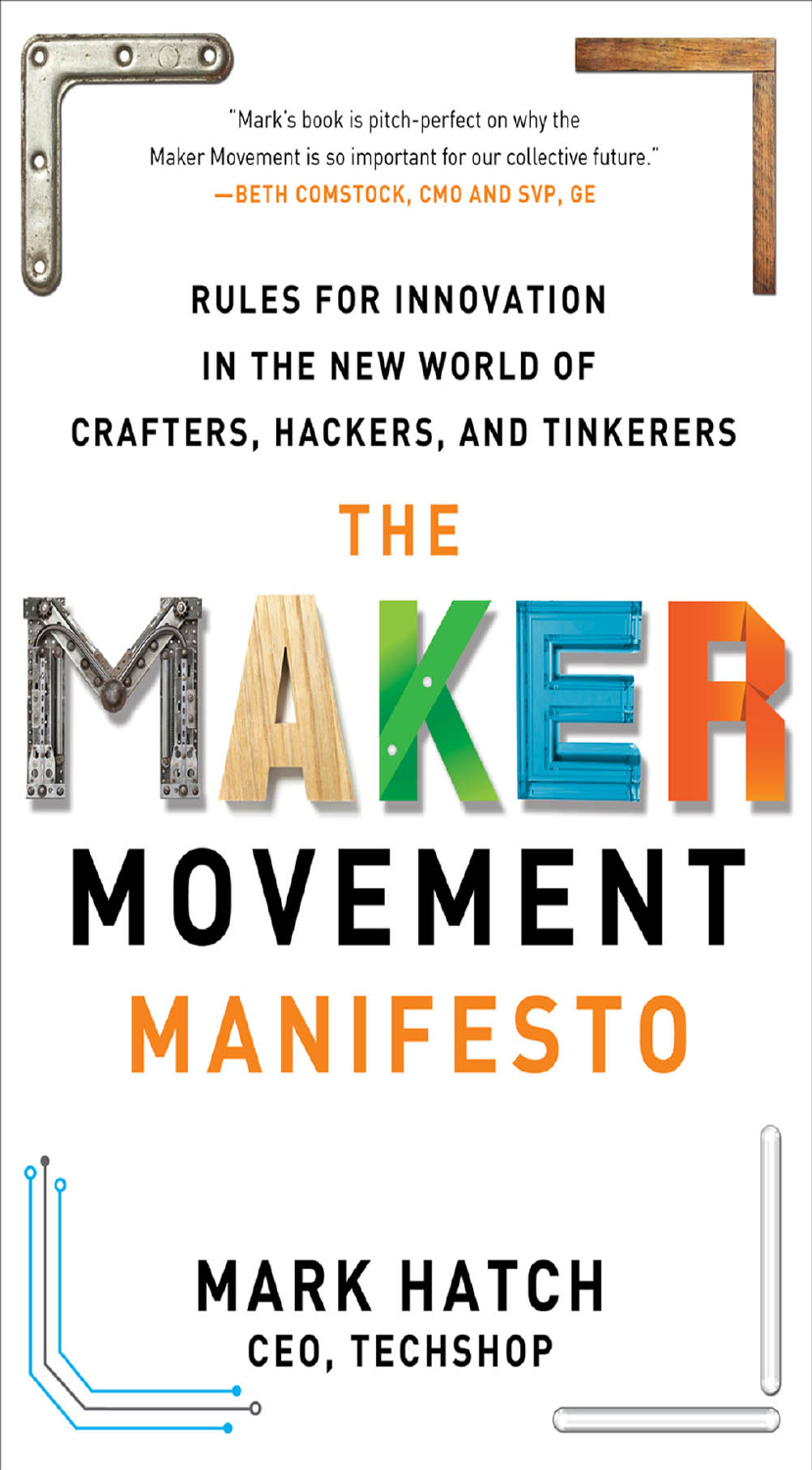

## **RULES FOR INNOVATION** IN THE NEW WORLD OF **CRAFTERS, HACKERS, AND TINKERERS**



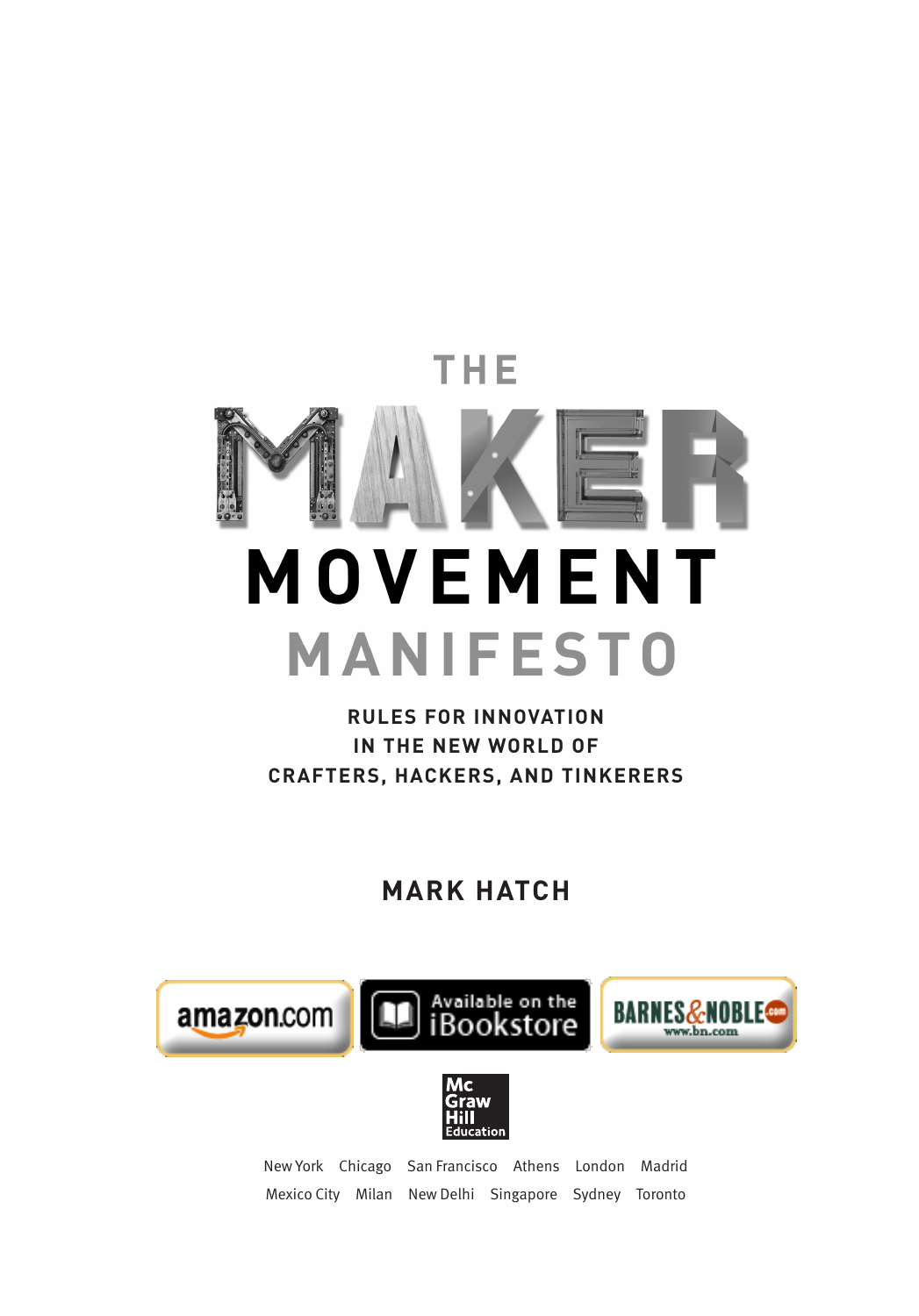

### **RULES FOR INNOVATION IN THE NEW WORLD OF CRAFTERS, HACKERS, AND TINKERERS**

## **MARK HATCH**









New York Chicago San Francisco Athens London Madrid Mexico City Milan New Delhi Singapore Sydney Toronto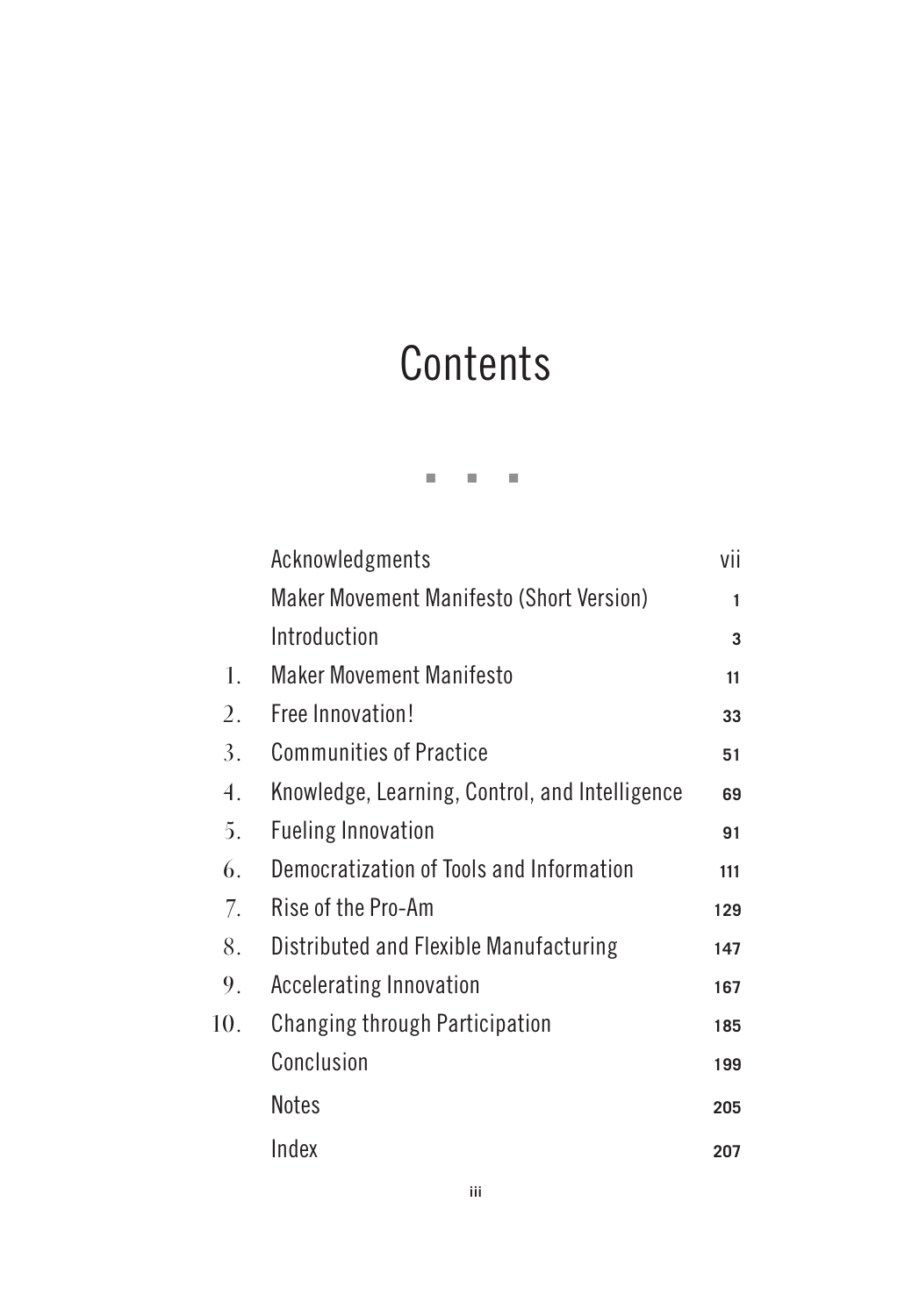# **Contents**

•■ ■ ■

|     | Acknowledgments                                 | vii          |
|-----|-------------------------------------------------|--------------|
|     | <b>Maker Movement Manifesto (Short Version)</b> | $\mathbf{1}$ |
|     | Introduction                                    | 3            |
| 1.  | <b>Maker Movement Manifesto</b>                 | 11           |
| 2.  | Free Innovation!                                | 33           |
| 3.  | <b>Communities of Practice</b>                  | 51           |
| 4.  | Knowledge, Learning, Control, and Intelligence  | 69           |
| 5.  | <b>Fueling Innovation</b>                       | 91           |
| 6.  | Democratization of Tools and Information        | 111          |
| 7.  | Rise of the Pro-Am                              | 129          |
| 8.  | Distributed and Flexible Manufacturing          | 147          |
| 9.  | Accelerating Innovation                         | 167          |
| 10. | <b>Changing through Participation</b>           | 185          |
|     | Conclusion                                      | 199          |
|     | <b>Notes</b>                                    | 205          |
|     | Index                                           | 207          |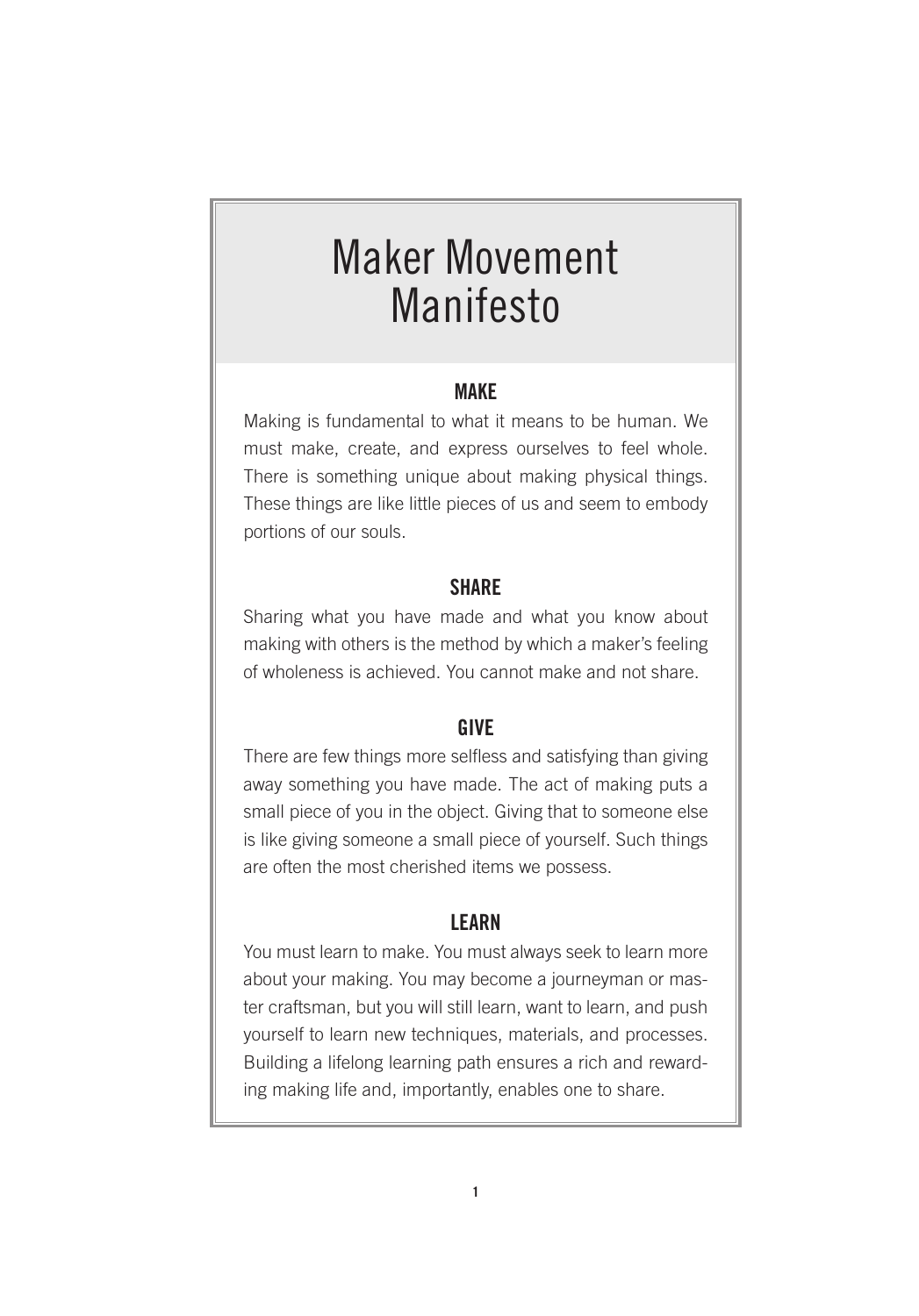## <span id="page-3-0"></span>Maker Movement Manifesto

### MAKE

Making is fundamental to what it means to be human. We must make, create, and express ourselves to feel whole. There is something unique about making physical things. These things are like little pieces of us and seem to embody portions of our souls.

### **SHARE**

Sharing what you have made and what you know about making with others is the method by which a maker's feeling of wholeness is achieved. You cannot make and not share.

### GIVE

There are few things more selfless and satisfying than giving away something you have made. The act of making puts a small piece of you in the object. Giving that to someone else is like giving someone a small piece of yourself. Such things are often the most cherished items we possess.

### **LEARN**

You must learn to make. You must always seek to learn more about your making. You may become a journeyman or master craftsman, but you will still learn, want to learn, and push yourself to learn new techniques, materials, and processes. Building a lifelong learning path ensures a rich and rewarding making life and, importantly, enables one to share.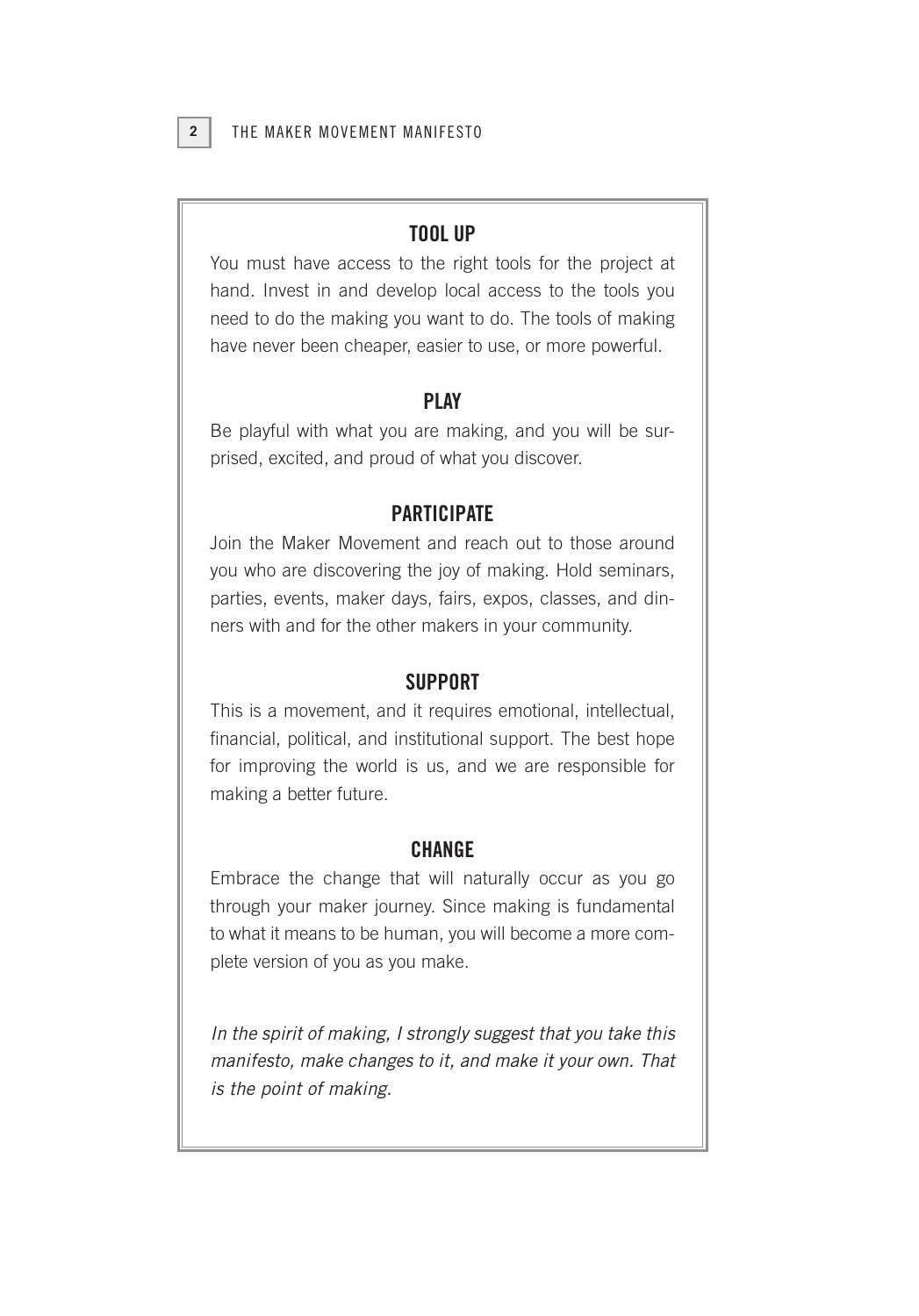### TOOL UP

You must have access to the right tools for the project at hand. Invest in and develop local access to the tools you need to do the making you want to do. The tools of making have never been cheaper, easier to use, or more powerful.

### **PI AY**

Be playful with what you are making, and you will be surprised, excited, and proud of what you discover.

### **PARTICIPATE**

Join the Maker Movement and reach out to those around you who are discovering the joy of making. Hold seminars, parties, events, maker days, fairs, expos, classes, and dinners with and for the other makers in your community.

### **SUPPORT**

This is a movement, and it requires emotional, intellectual, financial, political, and institutional support. The best hope for improving the world is us, and we are responsible for making a better future.

### CHANGE

Embrace the change that will naturally occur as you go through your maker journey. Since making is fundamental to what it means to be human, you will become a more complete version of you as you make.

*In the spirit of making, I strongly suggest that you take this manifesto, make changes to it, and make it your own. That is the point of making.*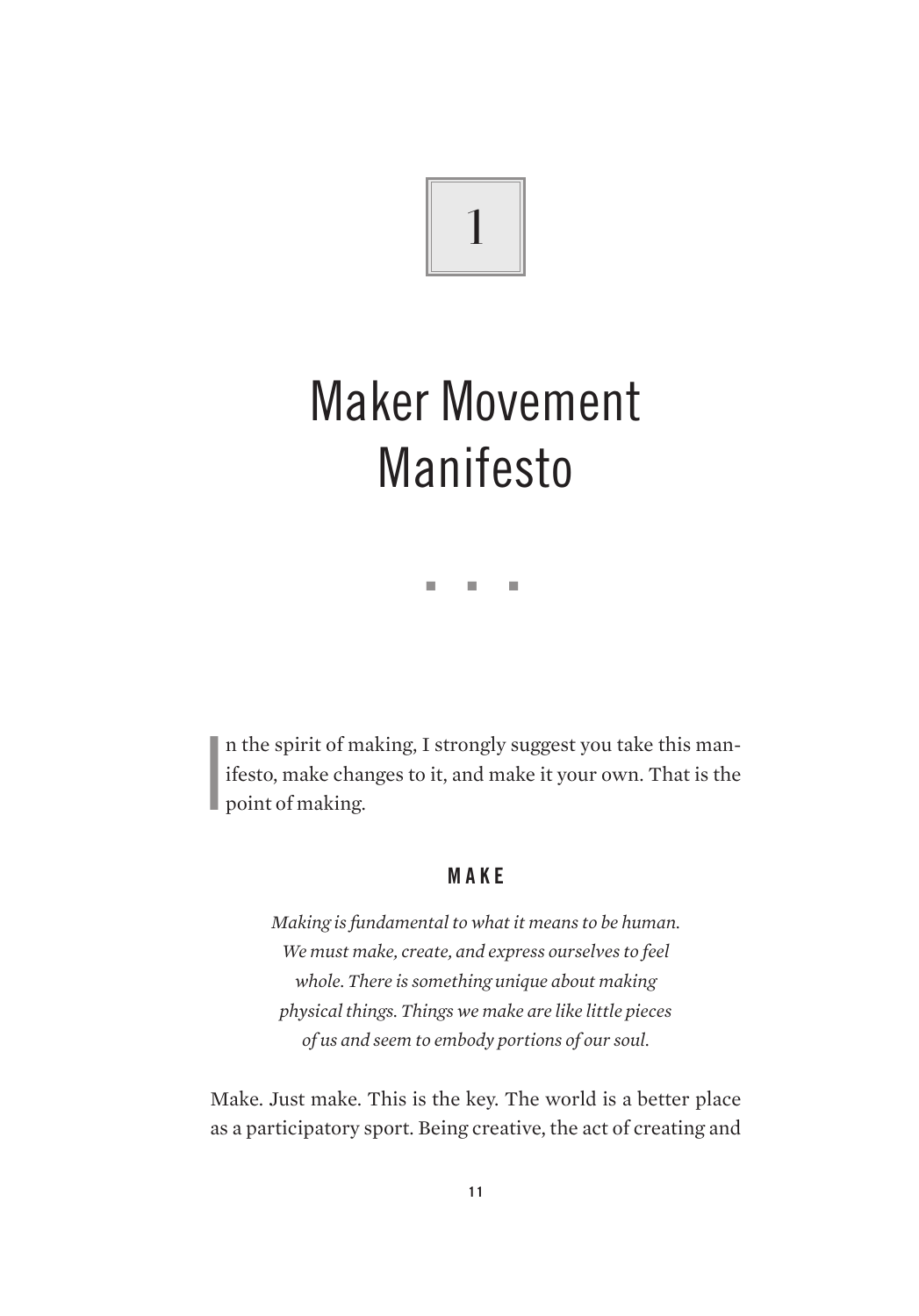$$
\boxed{1}
$$

# <span id="page-5-0"></span>Maker Movement Manifesto

•■ ■ ■

I n the spirit of making, I strongly suggest you take this manifesto, make changes to it, and make it your own. That is the point of making.

### MAKE

*Making is fundamental to what it means to be human. We must make, create, and express ourselves to feel whole. There is something unique about making physical things. Things we make are like little pieces of us and seem to embody portions of our soul.*

Make. Just make. This is the key. The world is a better place as a participatory sport. Being creative, the act of creating and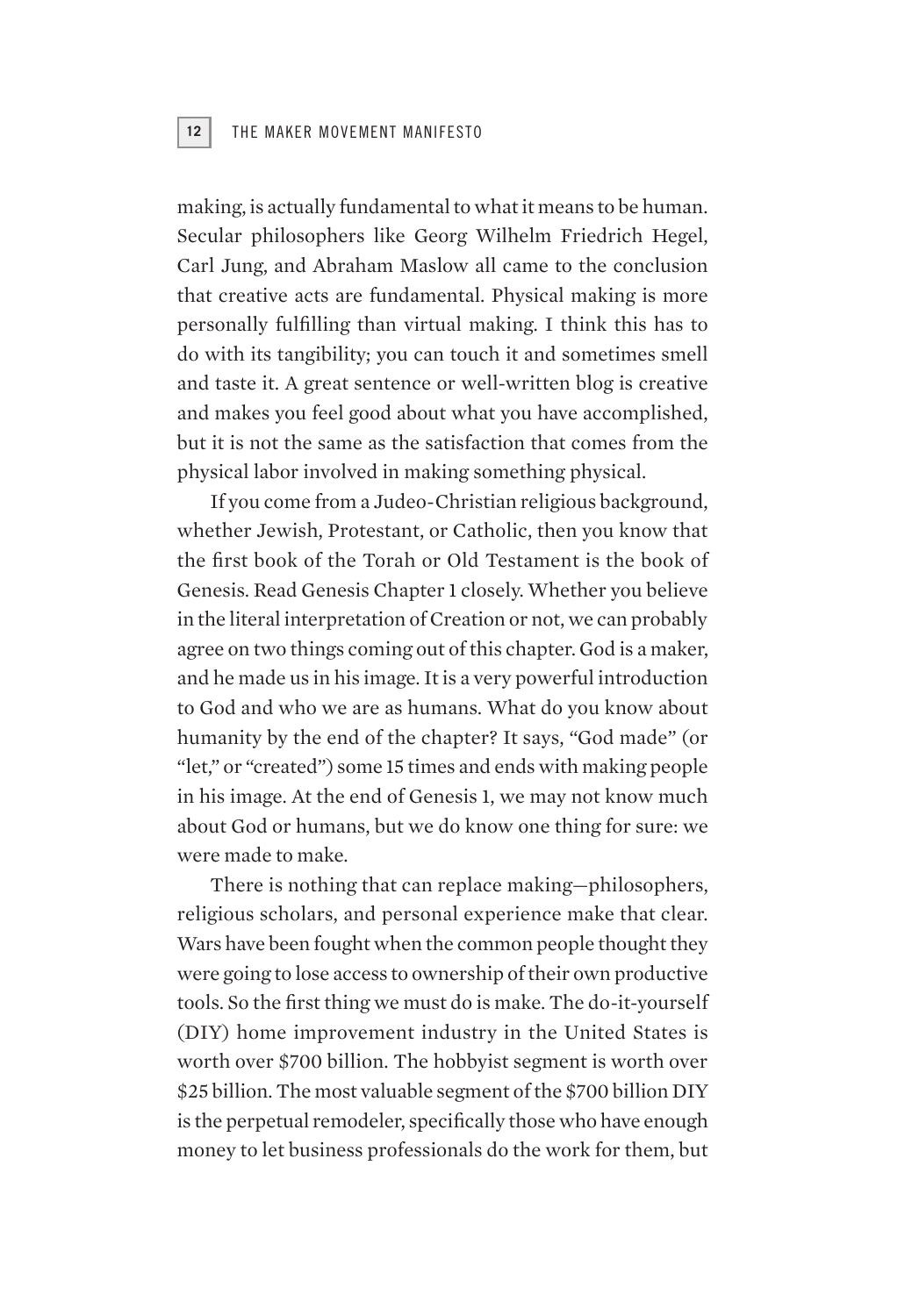making, is actually fundamental to what it means to be human. Secular philosophers like Georg Wilhelm Friedrich Hegel, Carl Jung, and Abraham Maslow all came to the conclusion that creative acts are fundamental. Physical making is more personally fulfilling than virtual making. I think this has to do with its tangibility; you can touch it and sometimes smell and taste it. A great sentence or well-written blog is creative and makes you feel good about what you have accomplished, but it is not the same as the satisfaction that comes from the physical labor involved in making something physical.

If you come from a Judeo-Christian religious background, whether Jewish, Protestant, or Catholic, then you know that the first book of the Torah or Old Testament is the book of Genesis. Read Genesis Chapter 1 closely. Whether you believe in the literal interpretation of Creation or not, we can probably agree on two things coming out of this chapter. God is a maker, and he made us in his image. It is a very powerful introduction to God and who we are as humans. What do you know about humanity by the end of the chapter? It says, "God made" (or "let," or "created") some 15 times and ends with making people in his image. At the end of Genesis 1, we may not know much about God or humans, but we do know one thing for sure: we were made to make.

There is nothing that can replace making—philosophers, religious scholars, and personal experience make that clear. Wars have been fought when the common people thought they were going to lose access to ownership of their own productive tools. So the first thing we must do is make. The do-it-yourself (DIY) home improvement industry in the United States is worth over \$700 billion. The hobbyist segment is worth over \$25 billion. The most valuable segment of the \$700 billion DIY is the perpetual remodeler, specifically those who have enough money to let business professionals do the work for them, but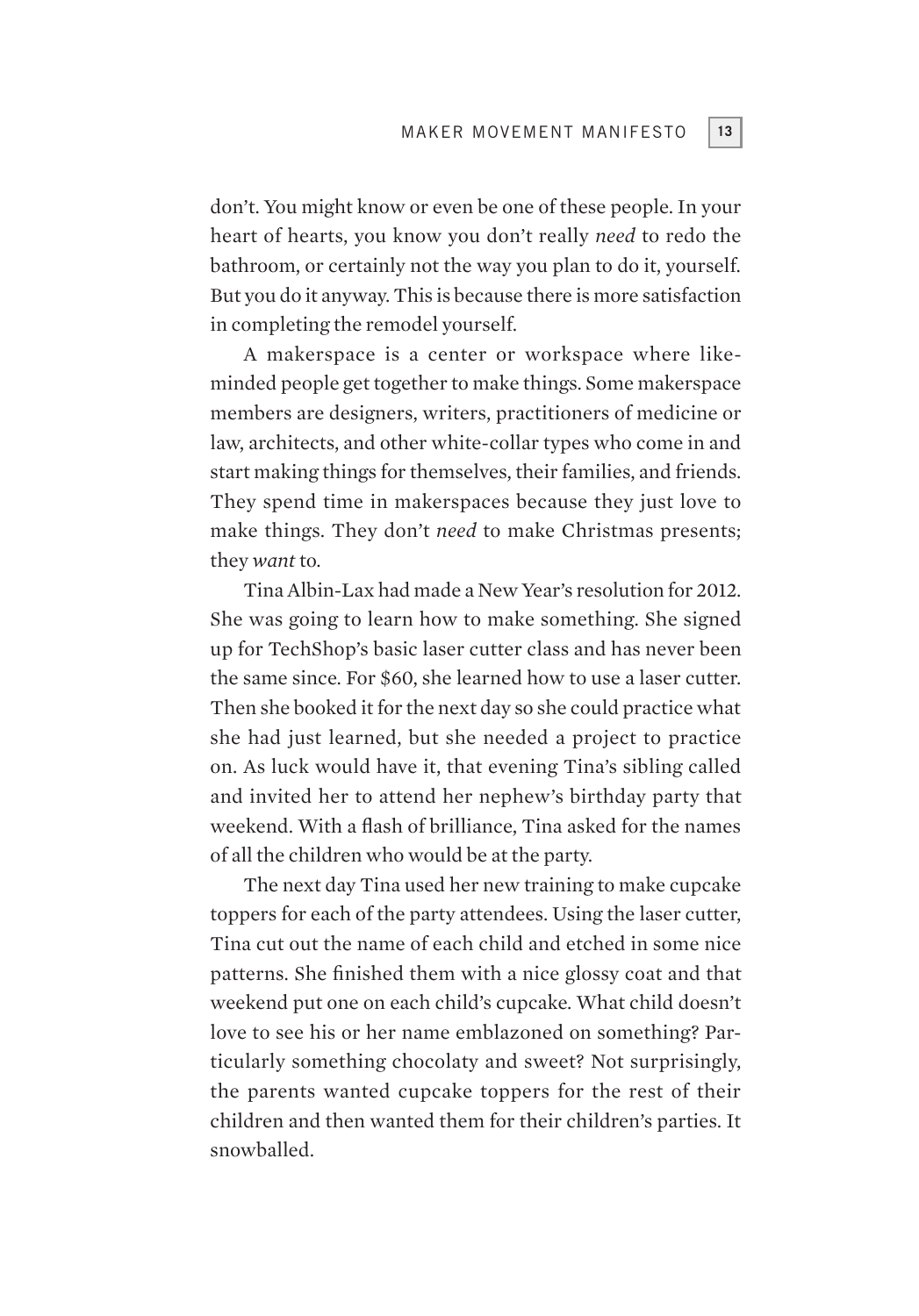don't. You might know or even be one of these people. In your heart of hearts, you know you don't really *need* to redo the bathroom, or certainly not the way you plan to do it, yourself. But you do it anyway. This is because there is more satisfaction in completing the remodel yourself.

A makerspace is a center or workspace where likeminded people get together to make things. Some makerspace members are designers, writers, practitioners of medicine or law, architects, and other white-collar types who come in and start making things for themselves, their families, and friends. They spend time in makerspaces because they just love to make things. They don't *need* to make Christmas presents; they *want* to.

Tina Albin-Lax had made a New Year's resolution for 2012. She was going to learn how to make something. She signed up for TechShop's basic laser cutter class and has never been the same since. For \$60, she learned how to use a laser cutter. Then she booked it for the next day so she could practice what she had just learned, but she needed a project to practice on. As luck would have it, that evening Tina's sibling called and invited her to attend her nephew's birthday party that weekend. With a flash of brilliance, Tina asked for the names of all the children who would be at the party.

The next day Tina used her new training to make cupcake toppers for each of the party attendees. Using the laser cutter, Tina cut out the name of each child and etched in some nice patterns. She finished them with a nice glossy coat and that weekend put one on each child's cupcake. What child doesn't love to see his or her name emblazoned on something? Particularly something chocolaty and sweet? Not surprisingly, the parents wanted cupcake toppers for the rest of their children and then wanted them for their children's parties. It snowballed.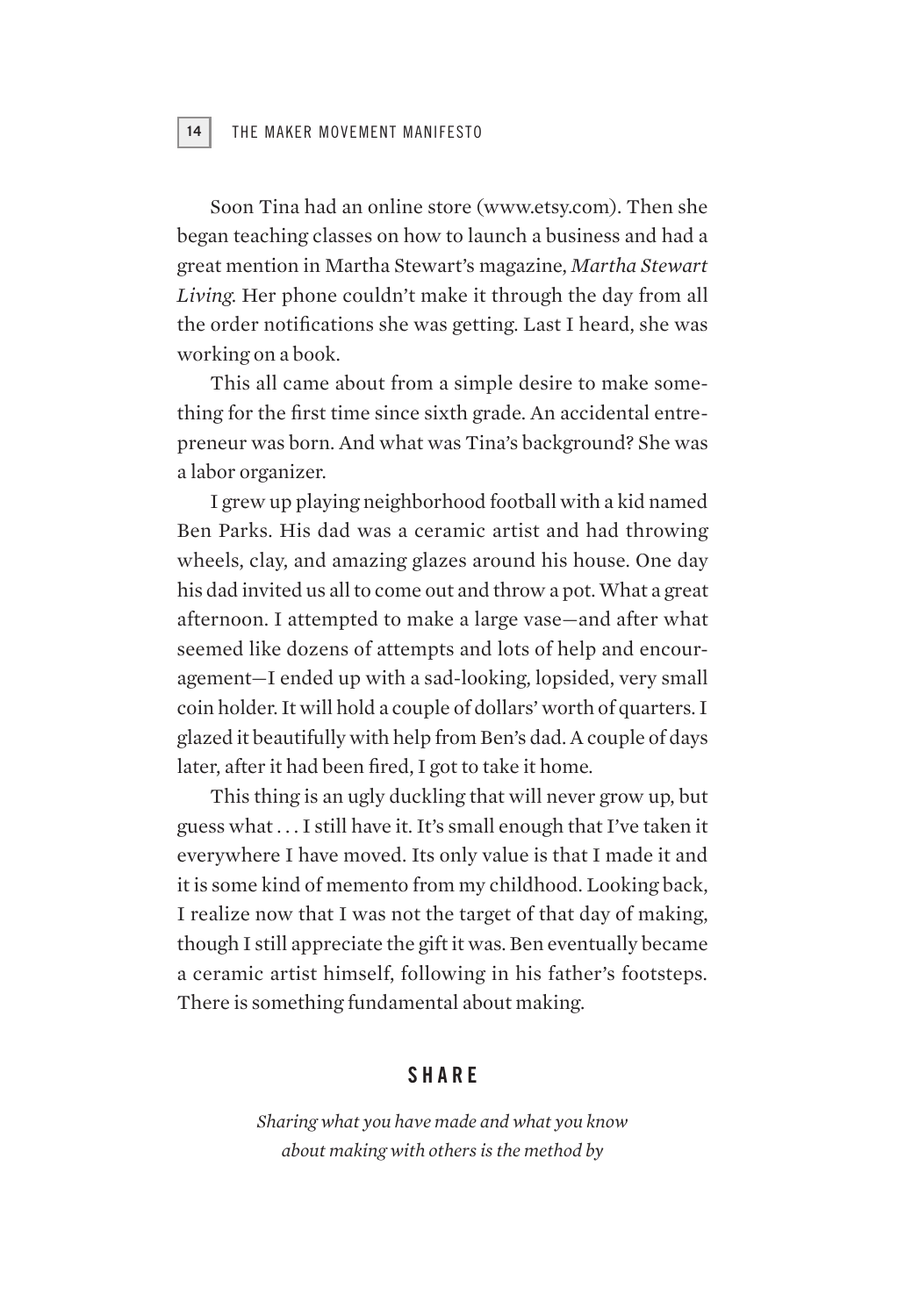Soon Tina had an online store [\(www.etsy.com\)](http://www.etsy.com). Then she began teaching classes on how to launch a business and had a great mention in Martha Stewart's magazine, *Martha Stewart Living.* Her phone couldn't make it through the day from all the order notifications she was getting. Last I heard, she was working on a book.

This all came about from a simple desire to make something for the first time since sixth grade. An accidental entrepreneur was born. And what was Tina's background? She was a labor organizer.

I grew up playing neighborhood football with a kid named Ben Parks. His dad was a ceramic artist and had throwing wheels, clay, and amazing glazes around his house. One day his dad invited us all to come out and throw a pot. What a great afternoon. I attempted to make a large vase—and after what seemed like dozens of attempts and lots of help and encouragement—I ended up with a sad-looking, lopsided, very small coin holder. It will hold a couple of dollars' worth of quarters. I glazed it beautifully with help from Ben's dad. A couple of days later, after it had been fired, I got to take it home.

This thing is an ugly duckling that will never grow up, but guess what . . . I still have it. It's small enough that I've taken it everywhere I have moved. Its only value is that I made it and it is some kind of memento from my childhood. Looking back, I realize now that I was not the target of that day of making, though I still appreciate the gift it was. Ben eventually became a ceramic artist himself, following in his father's footsteps. There is something fundamental about making.

### SHARE

*Sharing what you have made and what you know about making with others is the method by*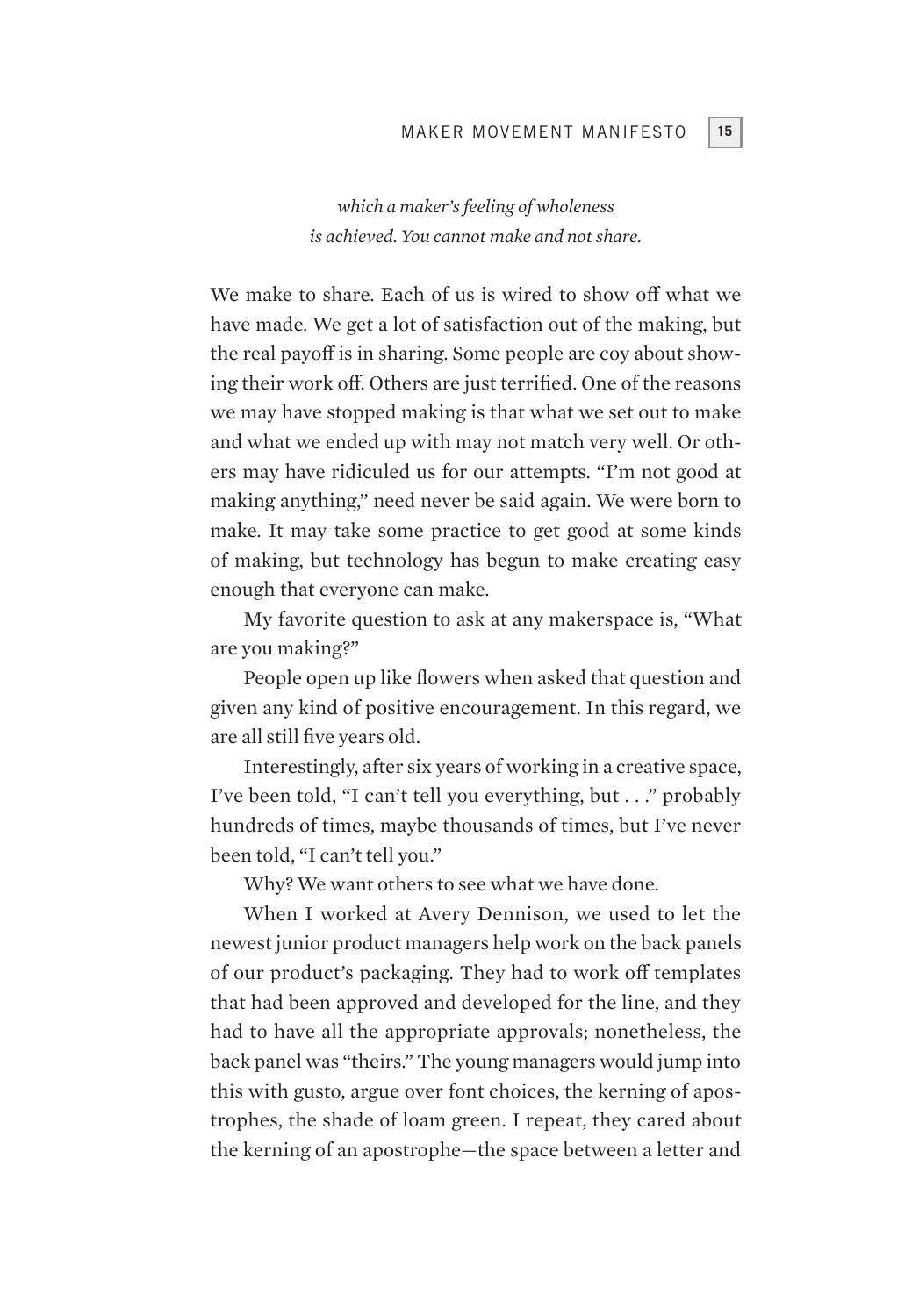*which a maker's feeling of wholeness is achieved. You cannot make and not share.*

We make to share. Each of us is wired to show off what we have made. We get a lot of satisfaction out of the making, but the real payoff is in sharing. Some people are coy about showing their work off. Others are just terrified. One of the reasons we may have stopped making is that what we set out to make and what we ended up with may not match very well. Or others may have ridiculed us for our attempts. "I'm not good at making anything," need never be said again. We were born to make. It may take some practice to get good at some kinds of making, but technology has begun to make creating easy enough that everyone can make.

My favorite question to ask at any makerspace is, "What are you making?"

People open up like flowers when asked that question and given any kind of positive encouragement. In this regard, we are all still five years old.

Interestingly, after six years of working in a creative space, I've been told, "I can't tell you everything, but . . ." probably hundreds of times, maybe thousands of times, but I've never been told, "I can't tell you."

Why? We want others to see what we have done.

When I worked at Avery Dennison, we used to let the newest junior product managers help work on the back panels of our product's packaging. They had to work off templates that had been approved and developed for the line, and they had to have all the appropriate approvals; nonetheless, the back panel was "theirs." The young managers would jump into this with gusto, argue over font choices, the kerning of apostrophes, the shade of loam green. I repeat, they cared about the kerning of an apostrophe—the space between a letter and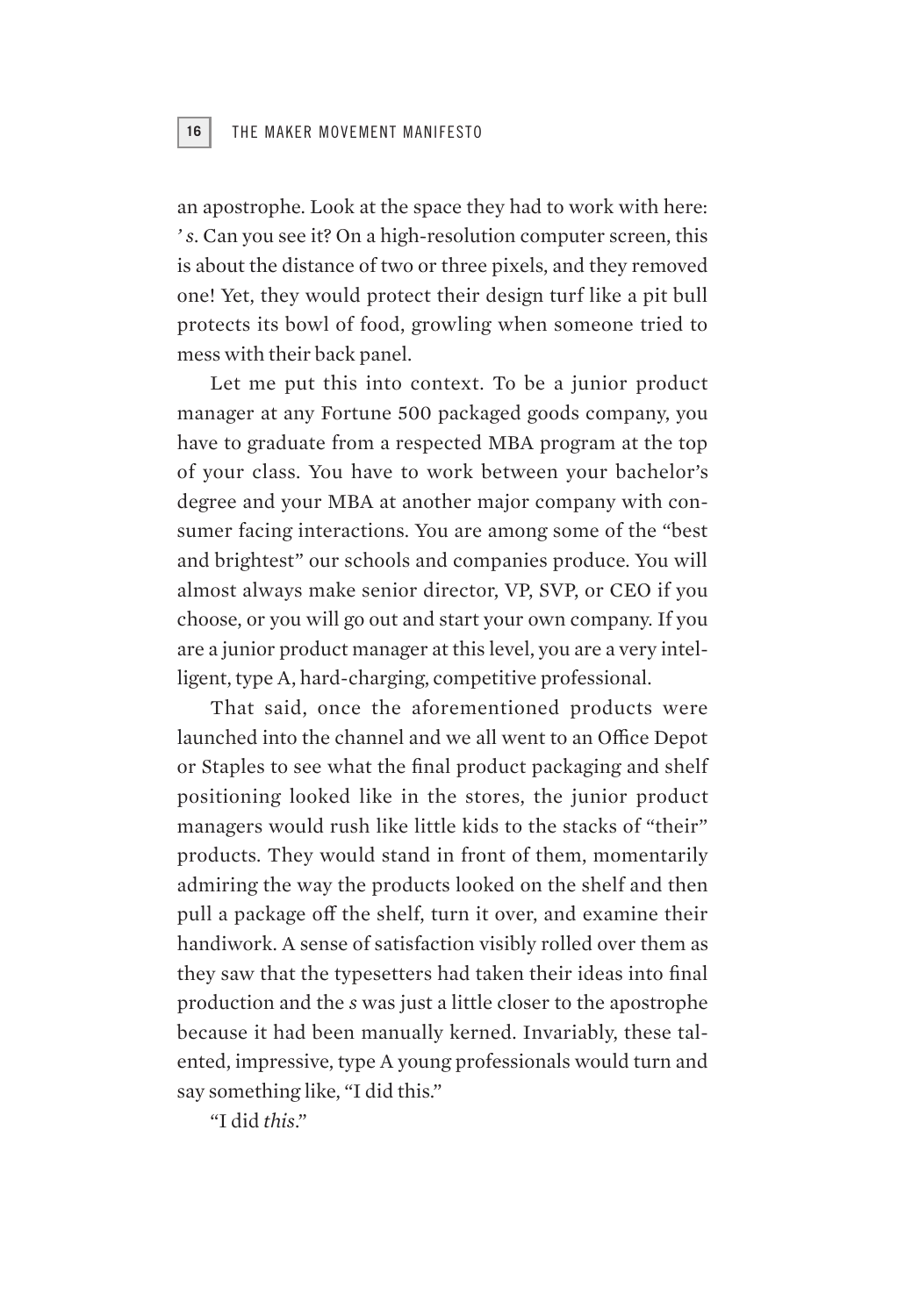an apostrophe. Look at the space they had to work with here: *' s*. Can you see it? On a high-resolution computer screen, this is about the distance of two or three pixels, and they removed one! Yet, they would protect their design turf like a pit bull protects its bowl of food, growling when someone tried to mess with their back panel.

Let me put this into context. To be a junior product manager at any Fortune 500 packaged goods company, you have to graduate from a respected MBA program at the top of your class. You have to work between your bachelor's degree and your MBA at another major company with consumer facing interactions. You are among some of the "best and brightest" our schools and companies produce. You will almost always make senior director, VP, SVP, or CEO if you choose, or you will go out and start your own company. If you are a junior product manager at this level, you are a very intelligent, type A, hard-charging, competitive professional.

That said, once the aforementioned products were launched into the channel and we all went to an Office Depot or Staples to see what the final product packaging and shelf positioning looked like in the stores, the junior product managers would rush like little kids to the stacks of "their" products. They would stand in front of them, momentarily admiring the way the products looked on the shelf and then pull a package off the shelf, turn it over, and examine their handiwork. A sense of satisfaction visibly rolled over them as they saw that the typesetters had taken their ideas into final production and the *s* was just a little closer to the apostrophe because it had been manually kerned. Invariably, these talented, impressive, type A young professionals would turn and say something like, "I did this."

"I did *this*."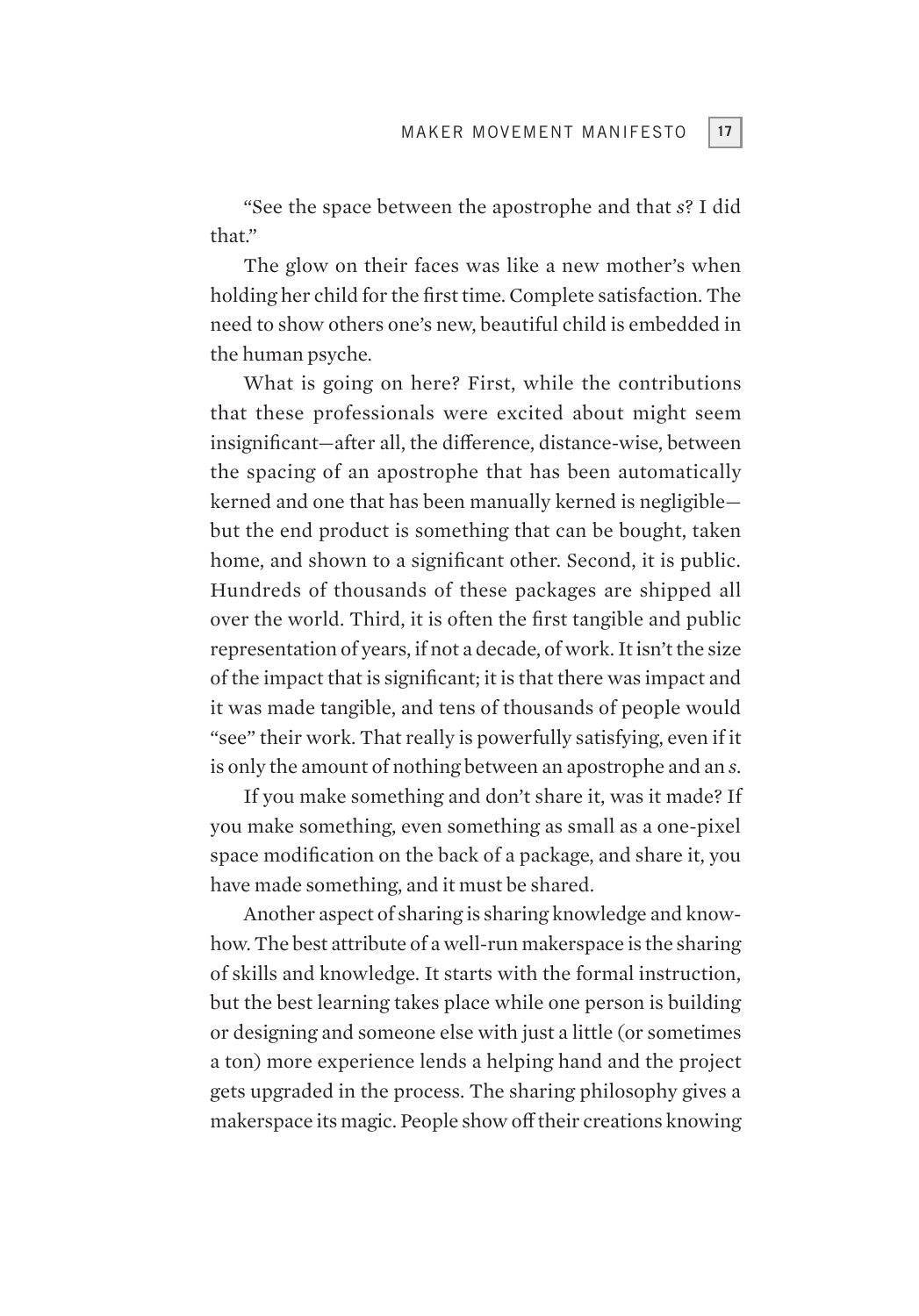"See the space between the apostrophe and that *s*? I did that"

The glow on their faces was like a new mother's when holding her child for the first time. Complete satisfaction. The need to show others one's new, beautiful child is embedded in the human psyche.

What is going on here? First, while the contributions that these professionals were excited about might seem insignificant—after all, the difference, distance-wise, between the spacing of an apostrophe that has been automatically kerned and one that has been manually kerned is negligible but the end product is something that can be bought, taken home, and shown to a significant other. Second, it is public. Hundreds of thousands of these packages are shipped all over the world. Third, it is often the first tangible and public representation of years, if not a decade, of work. It isn't the size of the impact that is significant; it is that there was impact and it was made tangible, and tens of thousands of people would "see" their work. That really is powerfully satisfying, even if it is only the amount of nothing between an apostrophe and an *s*.

If you make something and don't share it, was it made? If you make something, even something as small as a one-pixel space modification on the back of a package, and share it, you have made something, and it must be shared.

Another aspect of sharing is sharing knowledge and knowhow. The best attribute of a well-run makerspace is the sharing of skills and knowledge. It starts with the formal instruction, but the best learning takes place while one person is building or designing and someone else with just a little (or sometimes a ton) more experience lends a helping hand and the project gets upgraded in the process. The sharing philosophy gives a makerspace its magic. People show off their creations knowing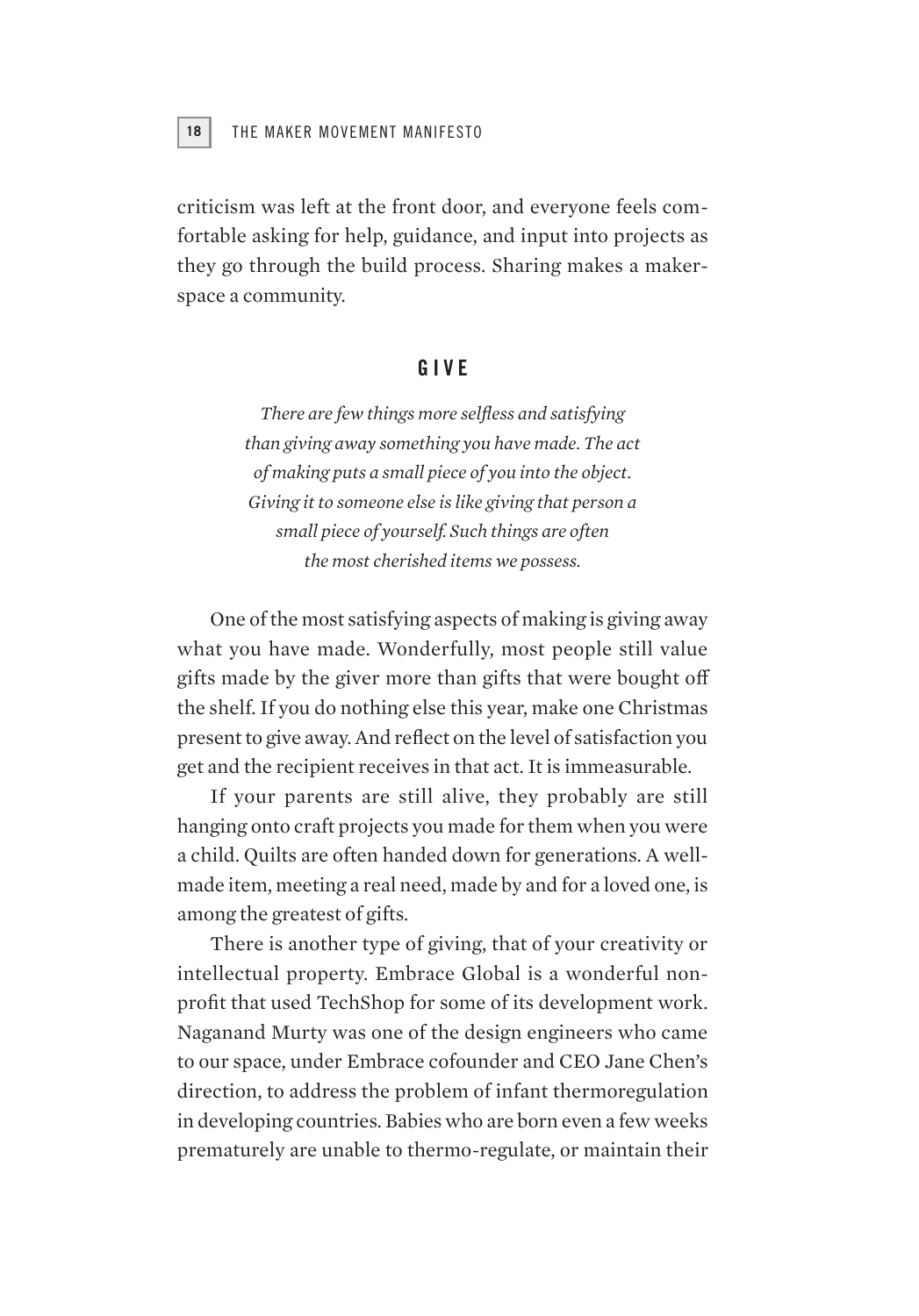criticism was left at the front door, and everyone feels comfortable asking for help, guidance, and input into projects as they go through the build process. Sharing makes a makerspace a community.

### GIVE

*There are few things more selfless and satisfying than giving away something you have made. The act of making puts a small piece of you into the object. Giving it to someone else is like giving that person a small piece of yourself. Such things are often the most cherished items we possess.*

One of the most satisfying aspects of making is giving away what you have made. Wonderfully, most people still value gifts made by the giver more than gifts that were bought off the shelf. If you do nothing else this year, make one Christmas present to give away. And reflect on the level of satisfaction you get and the recipient receives in that act. It is immeasurable.

If your parents are still alive, they probably are still hanging onto craft projects you made for them when you were a child. Quilts are often handed down for generations. A wellmade item, meeting a real need, made by and for a loved one, is among the greatest of gifts.

There is another type of giving, that of your creativity or intellectual property. Embrace Global is a wonderful nonprofit that used TechShop for some of its development work. Naganand Murty was one of the design engineers who came to our space, under Embrace cofounder and CEO Jane Chen's direction, to address the problem of infant thermoregulation in developing countries. Babies who are born even a few weeks prematurely are unable to thermo-regulate, or maintain their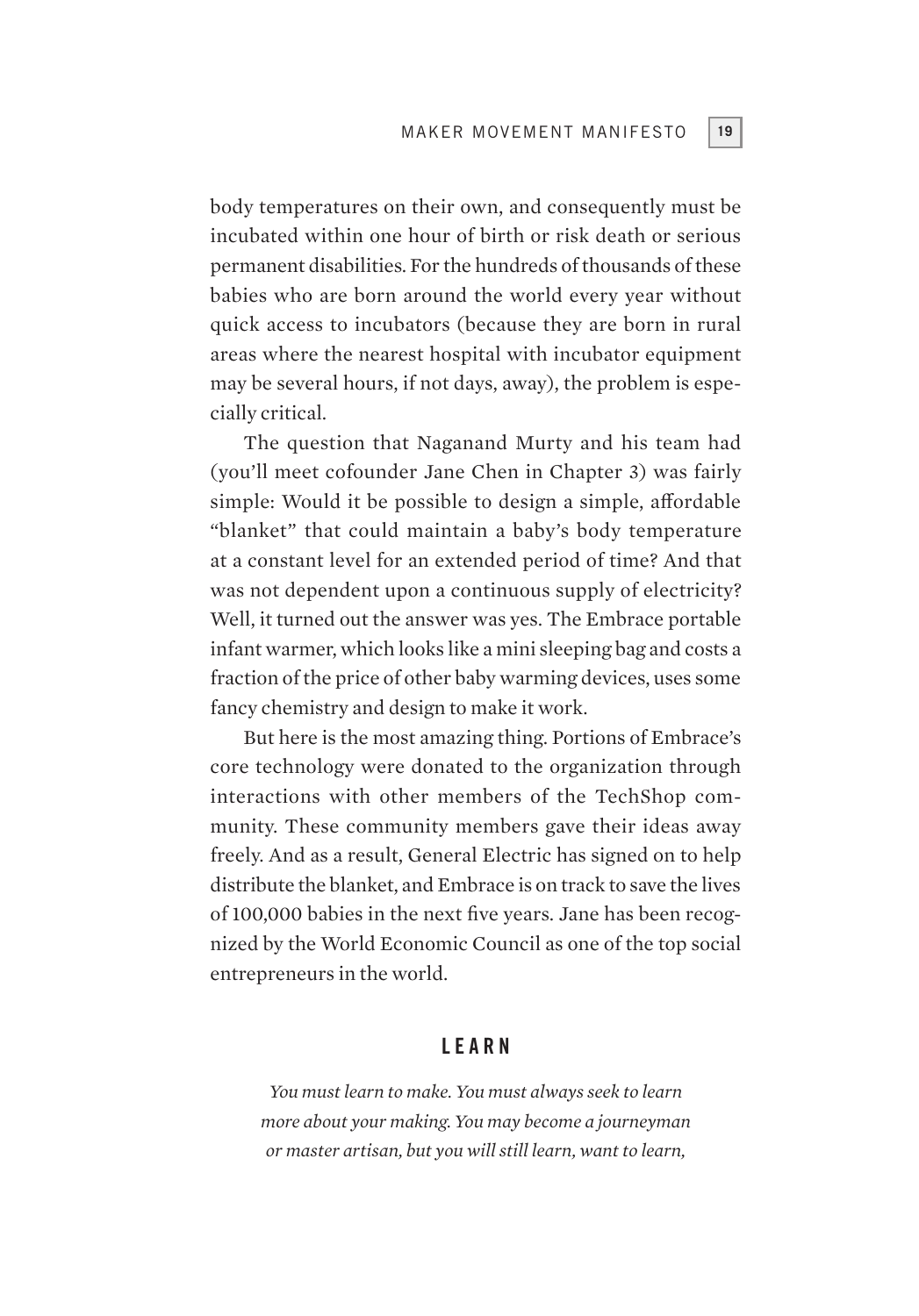body temperatures on their own, and consequently must be incubated within one hour of birth or risk death or serious permanent disabilities. For the hundreds of thousands of these babies who are born around the world every year without quick access to incubators (because they are born in rural areas where the nearest hospital with incubator equipment may be several hours, if not days, away), the problem is especially critical.

The question that Naganand Murty and his team had (you'll meet cofounder Jane Chen in Chapter 3) was fairly simple: Would it be possible to design a simple, affordable "blanket" that could maintain a baby's body temperature at a constant level for an extended period of time? And that was not dependent upon a continuous supply of electricity? Well, it turned out the answer was yes. The Embrace portable infant warmer, which looks like a mini sleeping bag and costs a fraction of the price of other baby warming devices, uses some fancy chemistry and design to make it work.

But here is the most amazing thing. Portions of Embrace's core technology were donated to the organization through interactions with other members of the TechShop community. These community members gave their ideas away freely. And as a result, General Electric has signed on to help distribute the blanket, and Embrace is on track to save the lives of 100,000 babies in the next five years. Jane has been recognized by the World Economic Council as one of the top social entrepreneurs in the world.

### LEARN

*You must learn to make. You must always seek to learn more about your making. You may become a journeyman or master artisan, but you will still learn, want to learn,*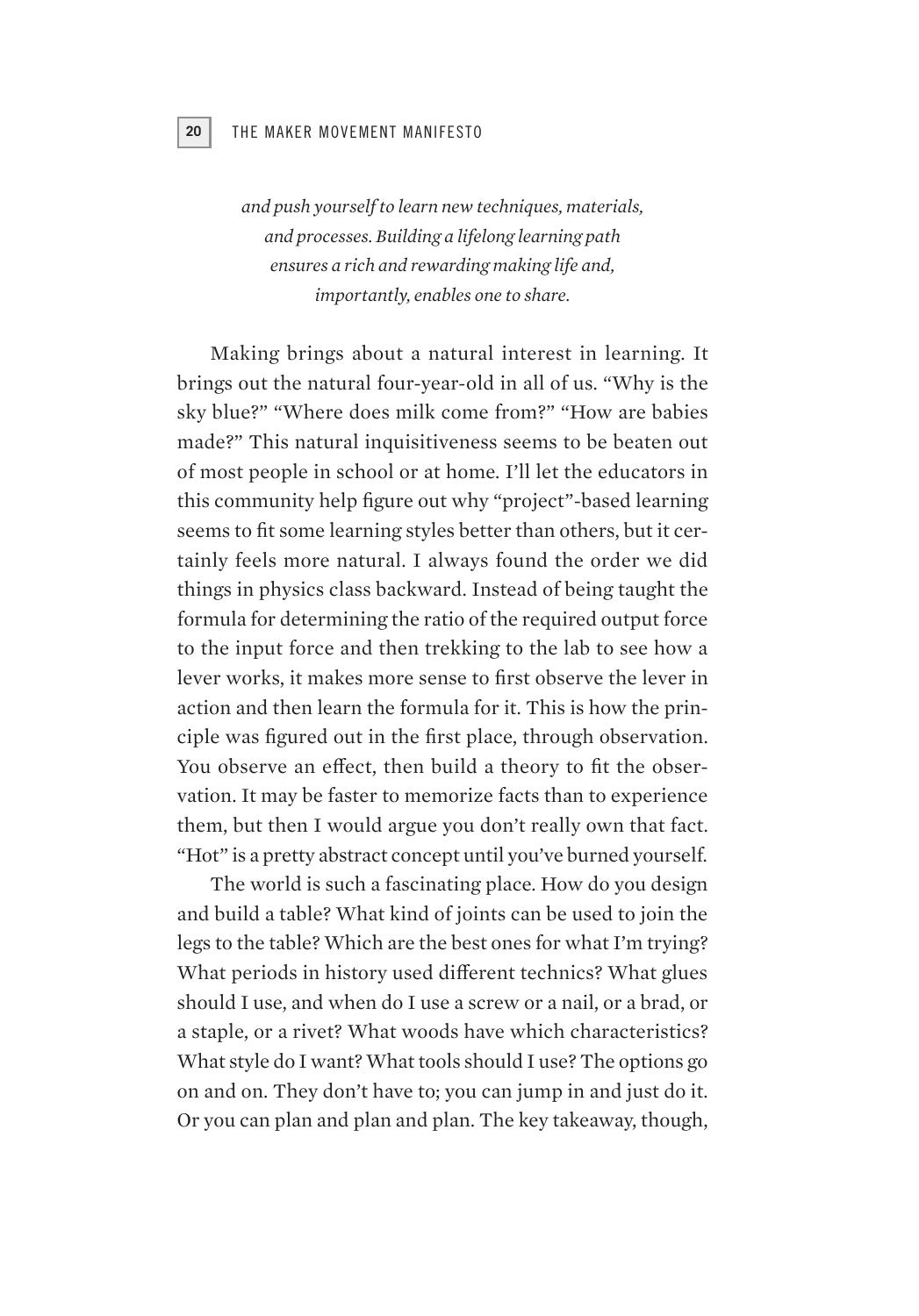*and push yourself to learn new techniques, materials, and processes. Building a lifelong learning path ensures a rich and rewarding making life and, importantly, enables one to share.*

Making brings about a natural interest in learning. It brings out the natural four-year-old in all of us. "Why is the sky blue?" "Where does milk come from?" "How are babies made?" This natural inquisitiveness seems to be beaten out of most people in school or at home. I'll let the educators in this community help figure out why "project"-based learning seems to fit some learning styles better than others, but it certainly feels more natural. I always found the order we did things in physics class backward. Instead of being taught the formula for determining the ratio of the required output force to the input force and then trekking to the lab to see how a lever works, it makes more sense to first observe the lever in action and then learn the formula for it. This is how the principle was figured out in the first place, through observation. You observe an effect, then build a theory to fit the observation. It may be faster to memorize facts than to experience them, but then I would argue you don't really own that fact. "Hot" is a pretty abstract concept until you've burned yourself.

The world is such a fascinating place. How do you design and build a table? What kind of joints can be used to join the legs to the table? Which are the best ones for what I'm trying? What periods in history used different technics? What glues should I use, and when do I use a screw or a nail, or a brad, or a staple, or a rivet? What woods have which characteristics? What style do I want? What tools should I use? The options go on and on. They don't have to; you can jump in and just do it. Or you can plan and plan and plan. The key takeaway, though,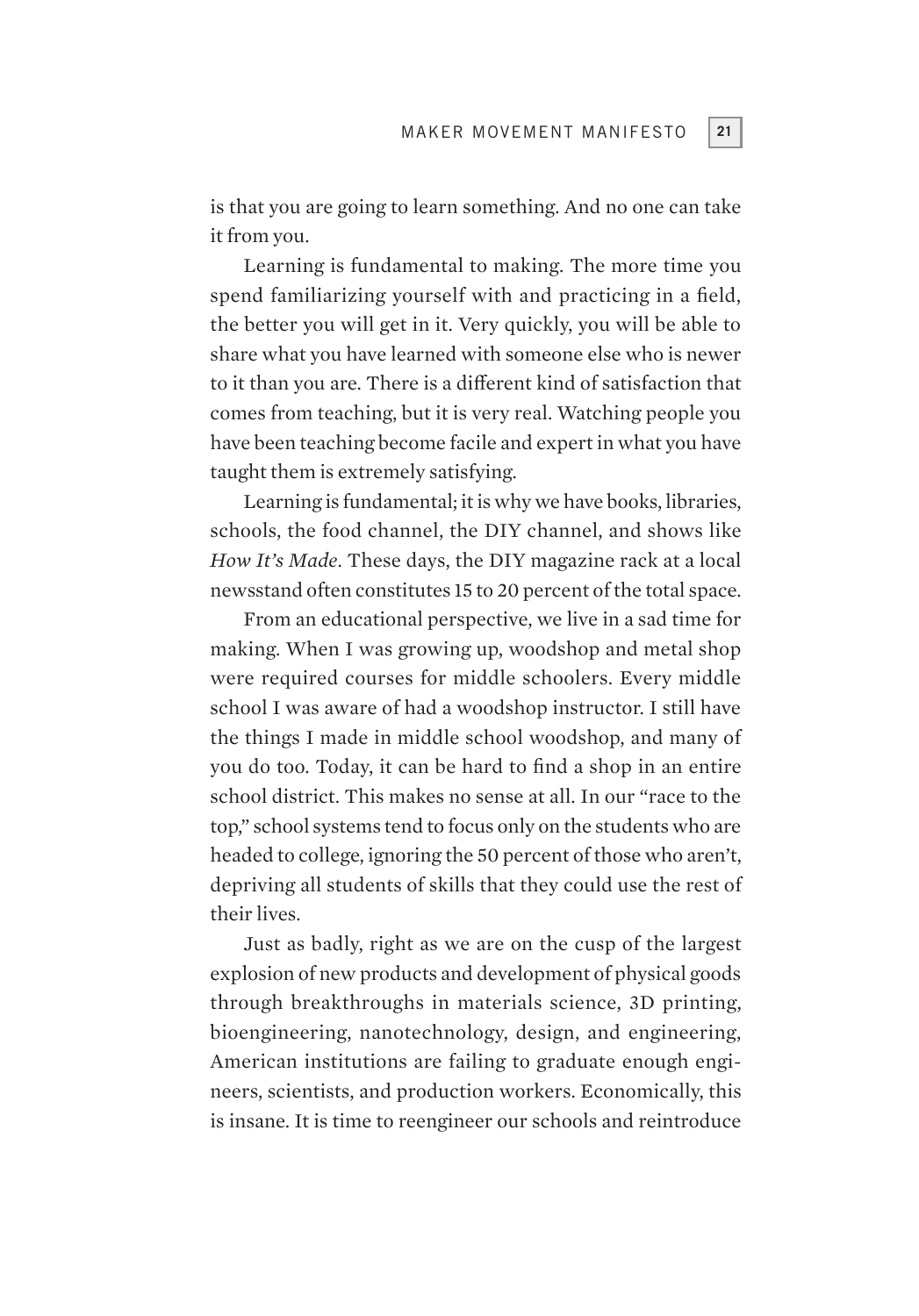is that you are going to learn something. And no one can take it from you.

Learning is fundamental to making. The more time you spend familiarizing yourself with and practicing in a field, the better you will get in it. Very quickly, you will be able to share what you have learned with someone else who is newer to it than you are. There is a different kind of satisfaction that comes from teaching, but it is very real. Watching people you have been teaching become facile and expert in what you have taught them is extremely satisfying.

Learning is fundamental; it is why we have books, libraries, schools, the food channel, the DIY channel, and shows like *How It's Made*. These days, the DIY magazine rack at a local newsstand often constitutes 15 to 20 percent of the total space.

From an educational perspective, we live in a sad time for making. When I was growing up, woodshop and metal shop were required courses for middle schoolers. Every middle school I was aware of had a woodshop instructor. I still have the things I made in middle school woodshop, and many of you do too. Today, it can be hard to find a shop in an entire school district. This makes no sense at all. In our "race to the top," school systems tend to focus only on the students who are headed to college, ignoring the 50 percent of those who aren't, depriving all students of skills that they could use the rest of their lives.

Just as badly, right as we are on the cusp of the largest explosion of new products and development of physical goods through breakthroughs in materials science, 3D printing, bioengineering, nanotechnology, design, and engineering, American institutions are failing to graduate enough engineers, scientists, and production workers. Economically, this is insane. It is time to reengineer our schools and reintroduce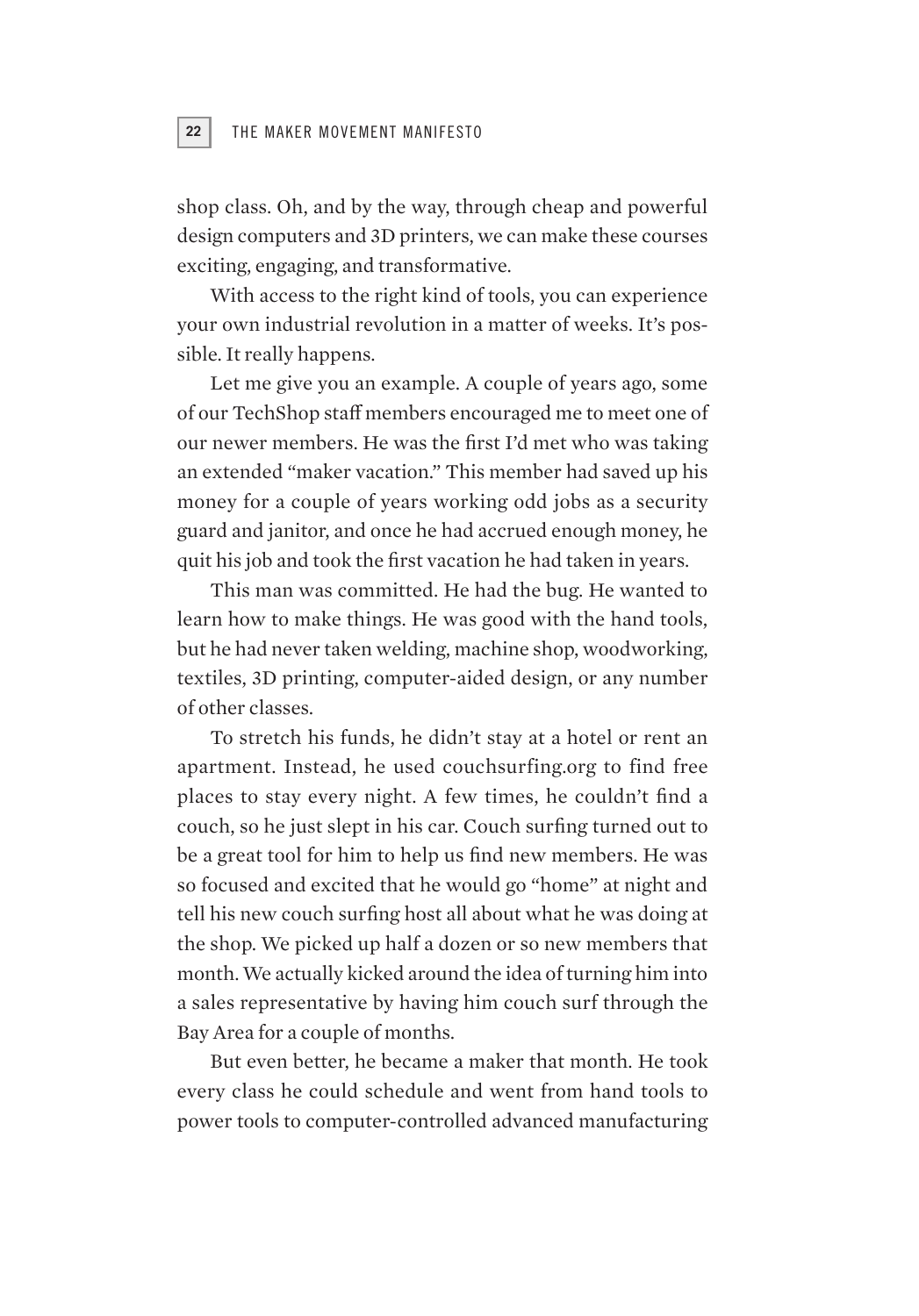shop class. Oh, and by the way, through cheap and powerful design computers and 3D printers, we can make these courses exciting, engaging, and transformative.

With access to the right kind of tools, you can experience your own industrial revolution in a matter of weeks. It's possible. It really happens.

Let me give you an example. A couple of years ago, some of our TechShop staff members encouraged me to meet one of our newer members. He was the first I'd met who was taking an extended "maker vacation." This member had saved up his money for a couple of years working odd jobs as a security guard and janitor, and once he had accrued enough money, he quit his job and took the first vacation he had taken in years.

This man was committed. He had the bug. He wanted to learn how to make things. He was good with the hand tools, but he had never taken welding, machine shop, woodworking, textiles, 3D printing, computer-aided design, or any number of other classes.

To stretch his funds, he didn't stay at a hotel or rent an apartment. Instead, he used couchsurfing.org to find free places to stay every night. A few times, he couldn't find a couch, so he just slept in his car. Couch surfing turned out to be a great tool for him to help us find new members. He was so focused and excited that he would go "home" at night and tell his new couch surfing host all about what he was doing at the shop. We picked up half a dozen or so new members that month. We actually kicked around the idea of turning him into a sales representative by having him couch surf through the Bay Area for a couple of months.

But even better, he became a maker that month. He took every class he could schedule and went from hand tools to power tools to computer-controlled advanced manufacturing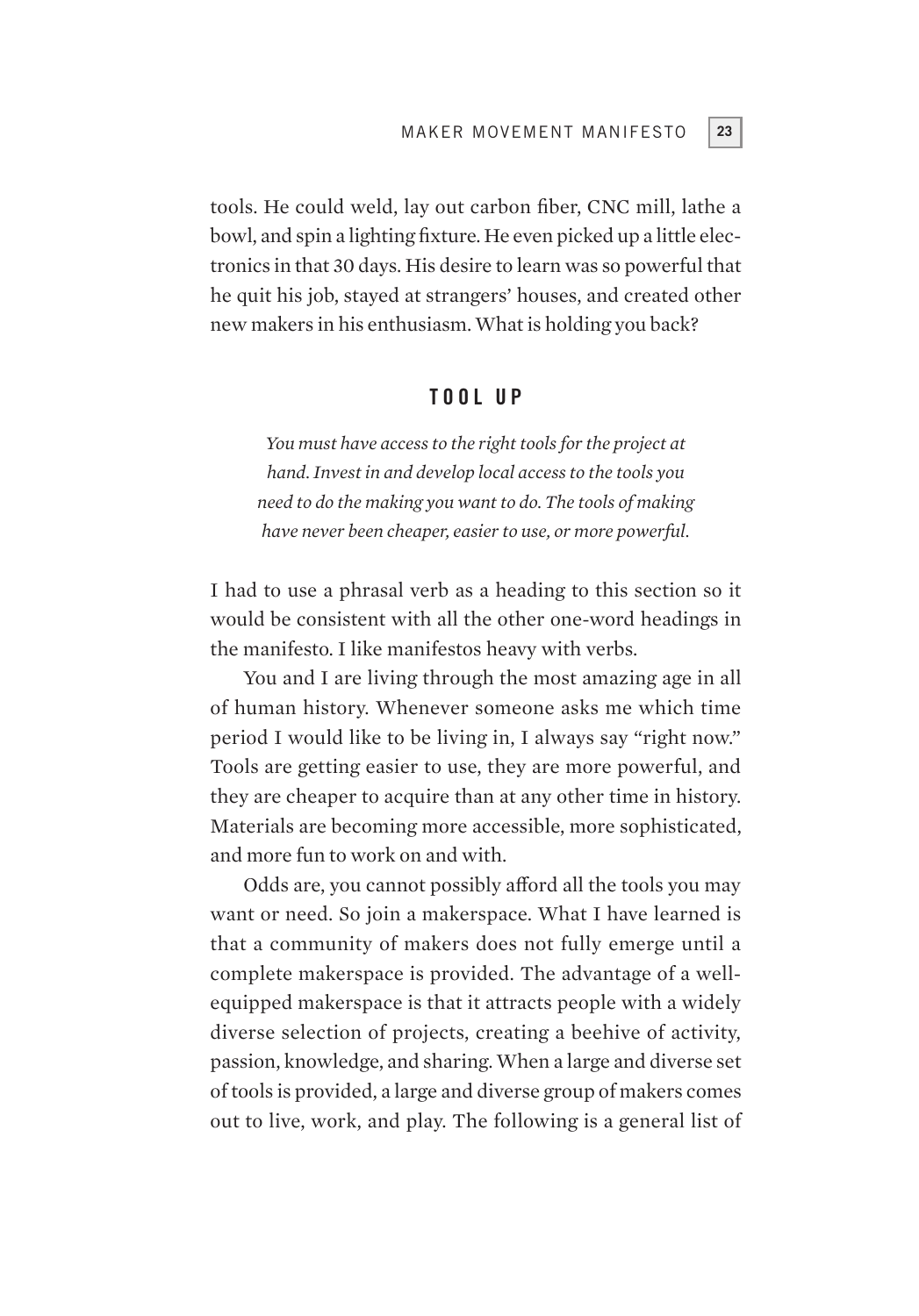tools. He could weld, lay out carbon fiber, CNC mill, lathe a bowl, and spin a lighting fixture. He even picked up a little electronics in that 30 days. His desire to learn was so powerful that he quit his job, stayed at strangers' houses, and created other new makers in his enthusiasm. What is holding you back?

### TOOL UP

*You must have access to the right tools for the project at hand. Invest in and develop local access to the tools you need to do the making you want to do. The tools of making have never been cheaper, easier to use, or more powerful.*

I had to use a phrasal verb as a heading to this section so it would be consistent with all the other one-word headings in the manifesto. I like manifestos heavy with verbs.

You and I are living through the most amazing age in all of human history. Whenever someone asks me which time period I would like to be living in, I always say "right now." Tools are getting easier to use, they are more powerful, and they are cheaper to acquire than at any other time in history. Materials are becoming more accessible, more sophisticated, and more fun to work on and with.

Odds are, you cannot possibly afford all the tools you may want or need. So join a makerspace. What I have learned is that a community of makers does not fully emerge until a complete makerspace is provided. The advantage of a wellequipped makerspace is that it attracts people with a widely diverse selection of projects, creating a beehive of activity, passion, knowledge, and sharing. When a large and diverse set of tools is provided, a large and diverse group of makers comes out to live, work, and play. The following is a general list of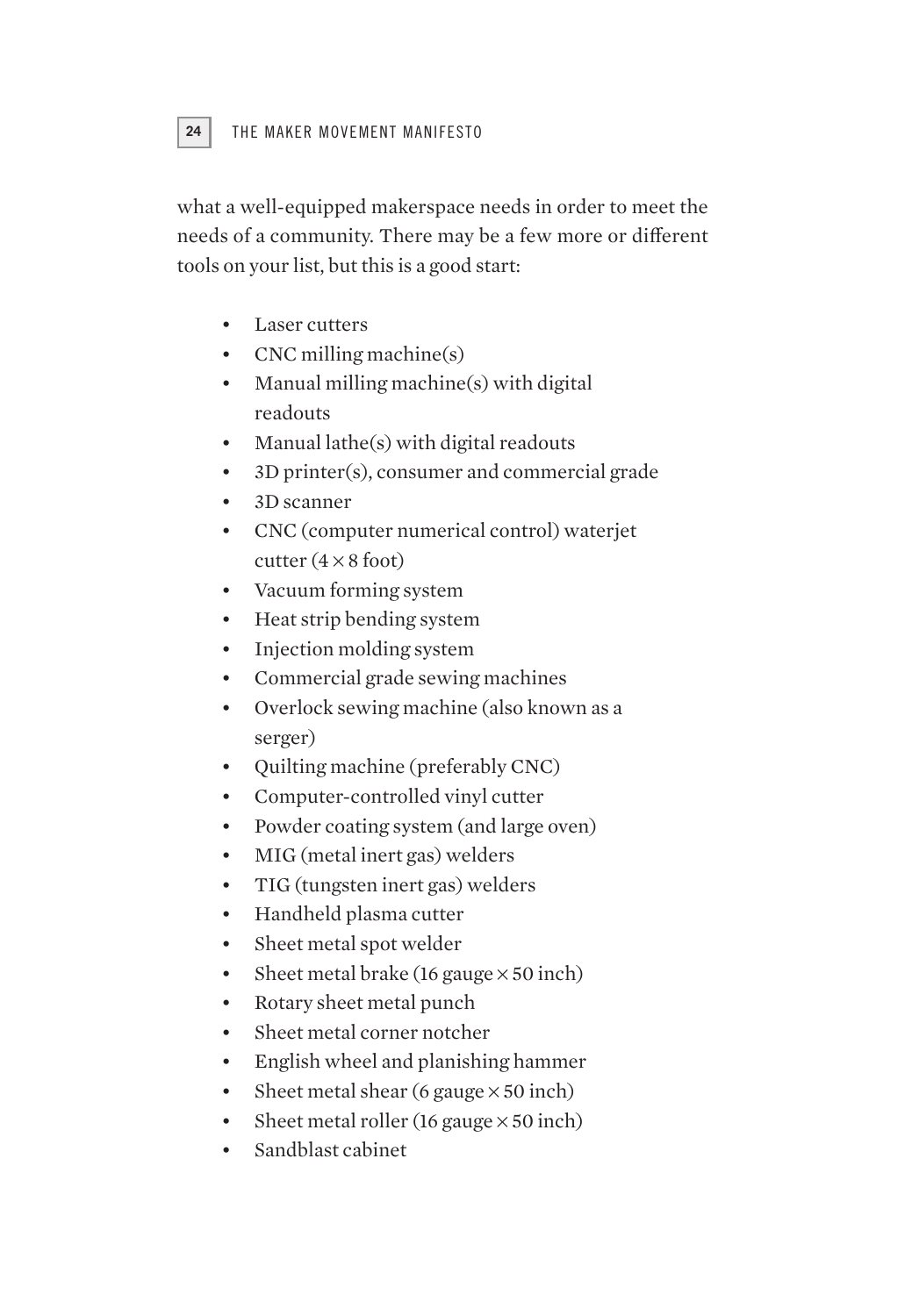what a well-equipped makerspace needs in order to meet the needs of a community. There may be a few more or different tools on your list, but this is a good start:

- • Laser cutters
- CNC milling machine(s)
- Manual milling machine(s) with digital readouts
- Manual lathe(s) with digital readouts
- $3D$  printer(s), consumer and commercial grade
- • 3D scanner
- • CNC (computer numerical control) waterjet cutter  $(4 \times 8$  foot)
- Vacuum forming system
- Heat strip bending system
- • Injection molding system
- • Commercial grade sewing machines
- • Overlock sewing machine (also known as a serger)
- • Quilting machine (preferably CNC)
- • Computer-controlled vinyl cutter
- Powder coating system (and large oven)
- MIG (metal inert gas) welders
- TIG (tungsten inert gas) welders
- • Handheld plasma cutter
- Sheet metal spot welder
- Sheet metal brake (16 gauge  $\times$  50 inch)
- • Rotary sheet metal punch
- Sheet metal corner notcher
- • English wheel and planishing hammer
- Sheet metal shear (6 gauge  $\times$  50 inch)
- Sheet metal roller (16 gauge  $\times$  50 inch)
- Sandblast cabinet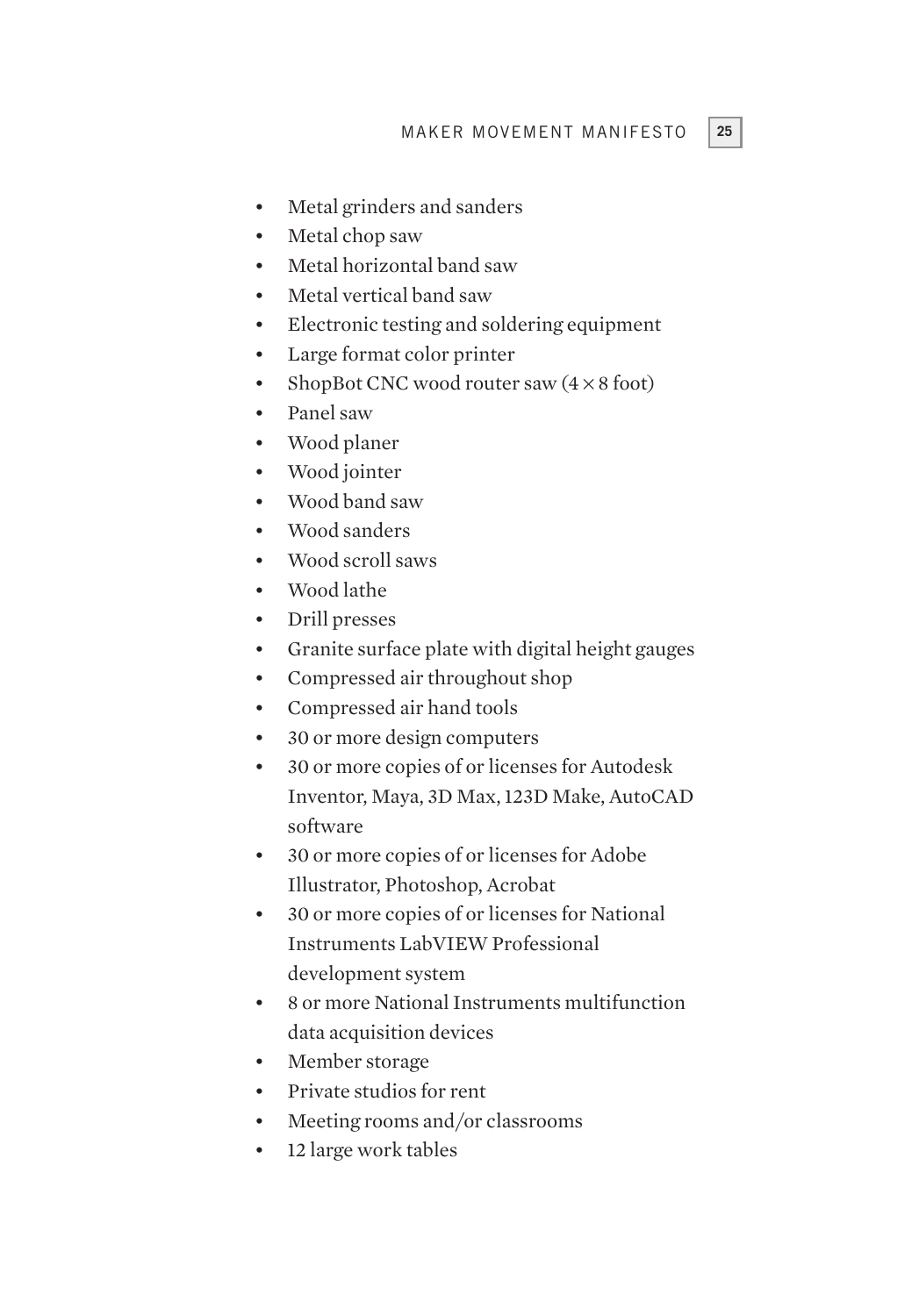- Metal grinders and sanders
- Metal chop saw
- Metal horizontal band saw
- Metal vertical band saw
- Electronic testing and soldering equipment
- • Large format color printer
- ShopBot CNC wood router saw  $(4 \times 8$  foot)
- Panel saw
- Wood planer
- Wood jointer
- Wood band saw
- • Wood sanders
- Wood scroll saws
- Wood lathe
- Drill presses
- Granite surface plate with digital height gauges
- • Compressed air throughout shop
- • Compressed air hand tools
- 30 or more design computers
- • 30 or more copies of or licenses for Autodesk Inventor, Maya, 3D Max, 123D Make, AutoCAD software
- • 30 or more copies of or licenses for Adobe Illustrator, Photoshop, Acrobat
- 30 or more copies of or licenses for National Instruments LabVIEW Professional development system
- • 8 or more National Instruments multifunction data acquisition devices
- Member storage
- • Private studios for rent
- Meeting rooms and/or classrooms
- 12 large work tables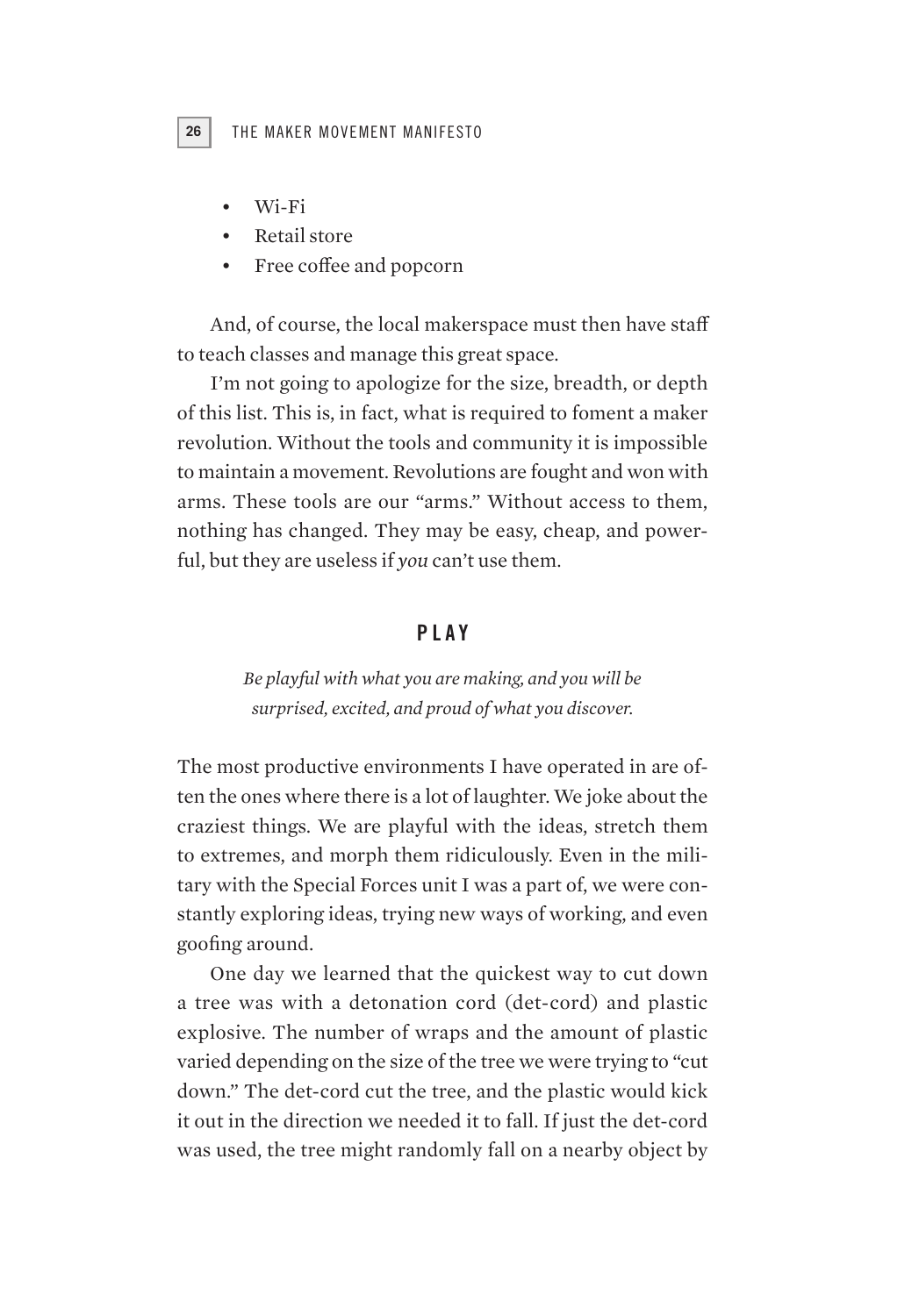- Wi-Fi
- Retail store
- • Free coffee and popcorn

And, of course, the local makerspace must then have staff to teach classes and manage this great space.

I'm not going to apologize for the size, breadth, or depth of this list. This is, in fact, what is required to foment a maker revolution. Without the tools and community it is impossible to maintain a movement. Revolutions are fought and won with arms. These tools are our "arms." Without access to them, nothing has changed. They may be easy, cheap, and powerful, but they are useless if *you* can't use them.

### PLAY

*Be playful with what you are making, and you will be surprised, excited, and proud of what you discover.*

The most productive environments I have operated in are often the ones where there is a lot of laughter. We joke about the craziest things. We are playful with the ideas, stretch them to extremes, and morph them ridiculously. Even in the military with the Special Forces unit I was a part of, we were constantly exploring ideas, trying new ways of working, and even goofing around.

One day we learned that the quickest way to cut down a tree was with a detonation cord (det-cord) and plastic explosive. The number of wraps and the amount of plastic varied depending on the size of the tree we were trying to "cut down." The det-cord cut the tree, and the plastic would kick it out in the direction we needed it to fall. If just the det-cord was used, the tree might randomly fall on a nearby object by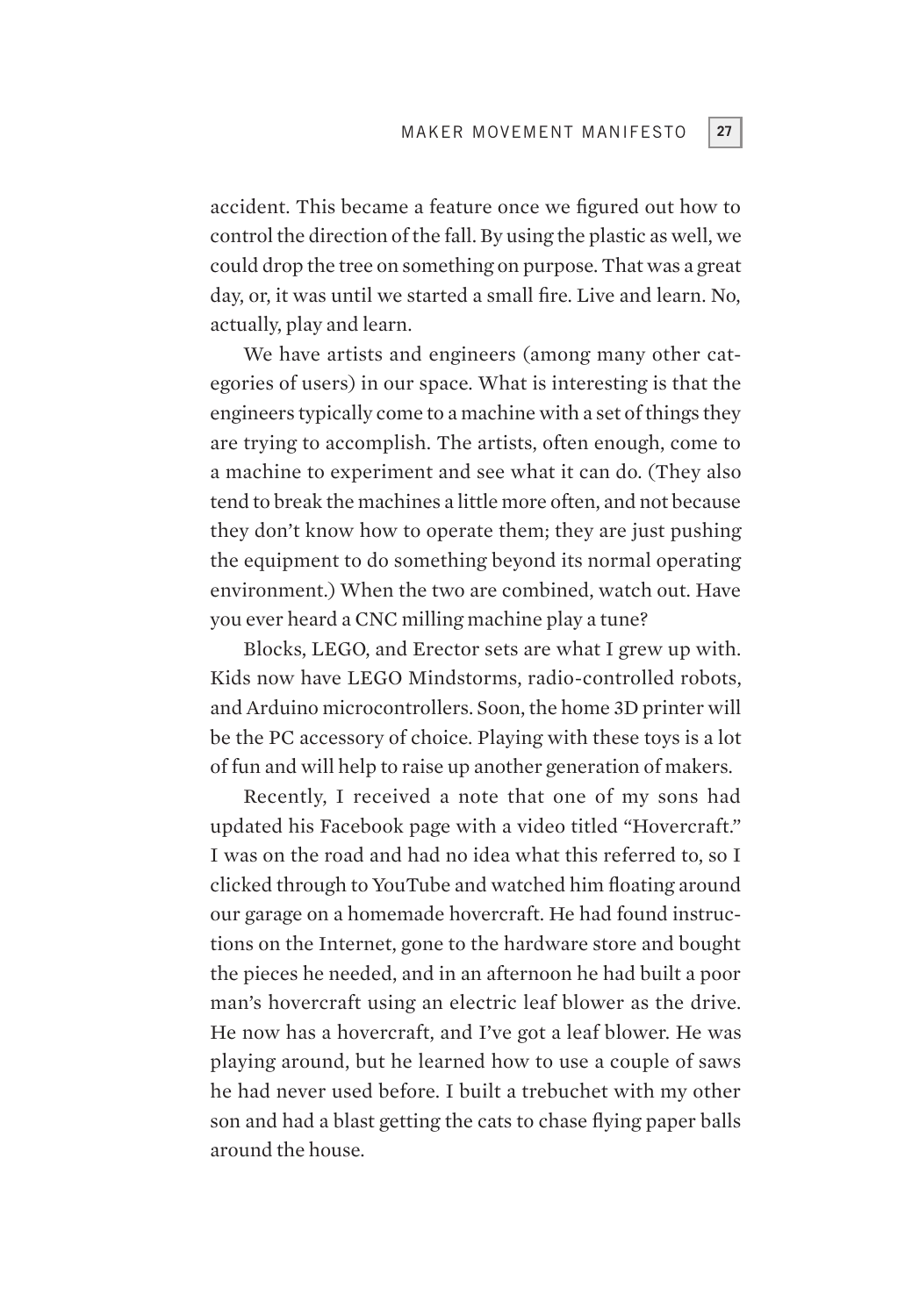accident. This became a feature once we figured out how to control the direction of the fall. By using the plastic as well, we could drop the tree on something on purpose. That was a great day, or, it was until we started a small fire. Live and learn. No, actually, play and learn.

We have artists and engineers (among many other categories of users) in our space. What is interesting is that the engineers typically come to a machine with a set of things they are trying to accomplish. The artists, often enough, come to a machine to experiment and see what it can do. (They also tend to break the machines a little more often, and not because they don't know how to operate them; they are just pushing the equipment to do something beyond its normal operating environment.) When the two are combined, watch out. Have you ever heard a CNC milling machine play a tune?

Blocks, LEGO, and Erector sets are what I grew up with. Kids now have LEGO Mindstorms, radio-controlled robots, and Arduino microcontrollers. Soon, the home 3D printer will be the PC accessory of choice. Playing with these toys is a lot of fun and will help to raise up another generation of makers.

Recently, I received a note that one of my sons had updated his Facebook page with a video titled "Hovercraft." I was on the road and had no idea what this referred to, so I clicked through to YouTube and watched him floating around our garage on a homemade hovercraft. He had found instructions on the Internet, gone to the hardware store and bought the pieces he needed, and in an afternoon he had built a poor man's hovercraft using an electric leaf blower as the drive. He now has a hovercraft, and I've got a leaf blower. He was playing around, but he learned how to use a couple of saws he had never used before. I built a trebuchet with my other son and had a blast getting the cats to chase flying paper balls around the house.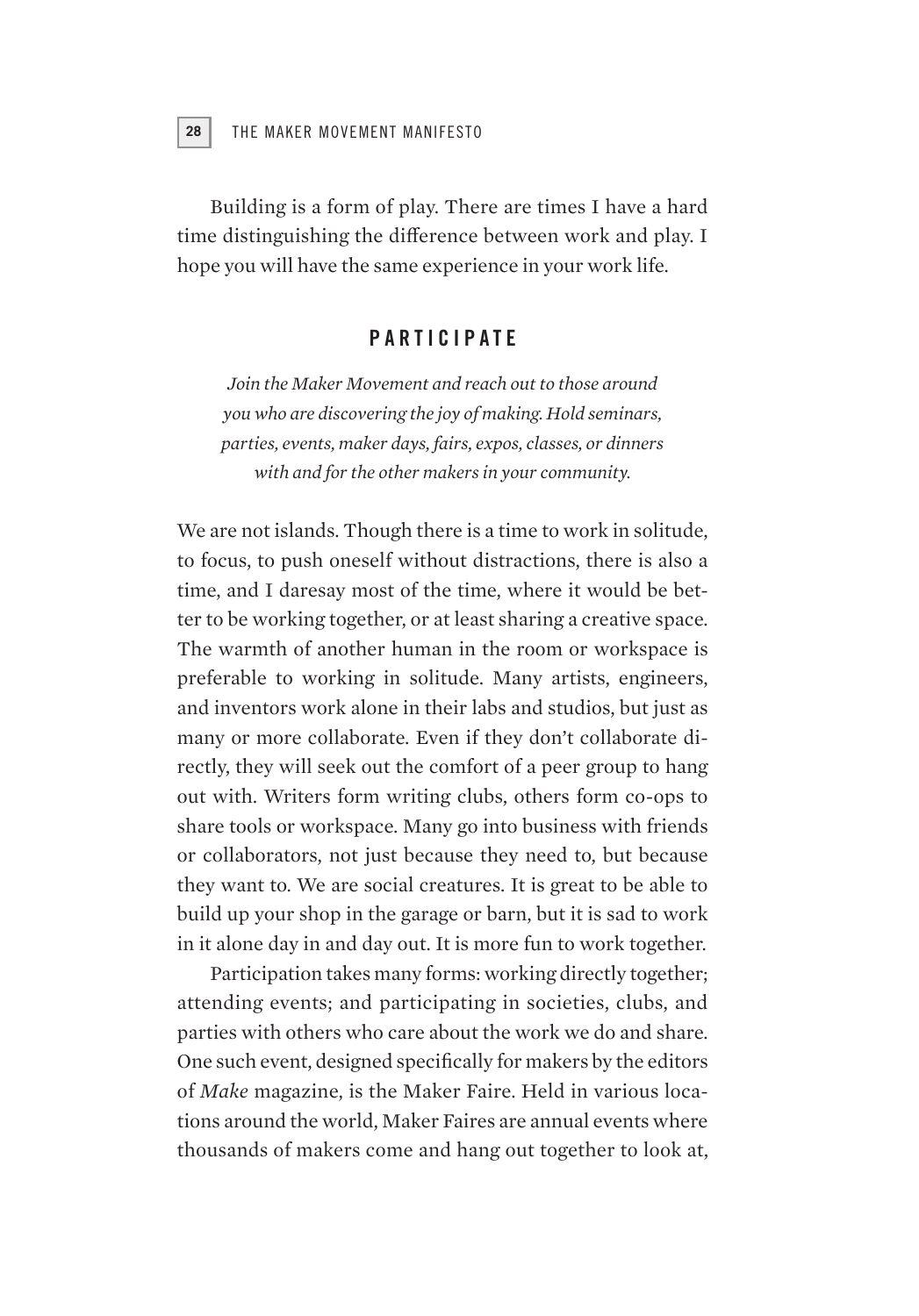Building is a form of play. There are times I have a hard time distinguishing the difference between work and play. I hope you will have the same experience in your work life.

### PARTICIPATE

*Join the Maker Movement and reach out to those around you who are discovering the joy of making. Hold seminars, parties, events, maker days, fairs, expos, classes, or dinners with and for the other makers in your community.*

We are not islands. Though there is a time to work in solitude, to focus, to push oneself without distractions, there is also a time, and I daresay most of the time, where it would be better to be working together, or at least sharing a creative space. The warmth of another human in the room or workspace is preferable to working in solitude. Many artists, engineers, and inventors work alone in their labs and studios, but just as many or more collaborate. Even if they don't collaborate directly, they will seek out the comfort of a peer group to hang out with. Writers form writing clubs, others form co-ops to share tools or workspace. Many go into business with friends or collaborators, not just because they need to, but because they want to. We are social creatures. It is great to be able to build up your shop in the garage or barn, but it is sad to work in it alone day in and day out. It is more fun to work together.

Participation takes many forms: working directly together; attending events; and participating in societies, clubs, and parties with others who care about the work we do and share. One such event, designed specifically for makers by the editors of *Make* magazine, is the Maker Faire. Held in various locations around the world, Maker Faires are annual events where thousands of makers come and hang out together to look at,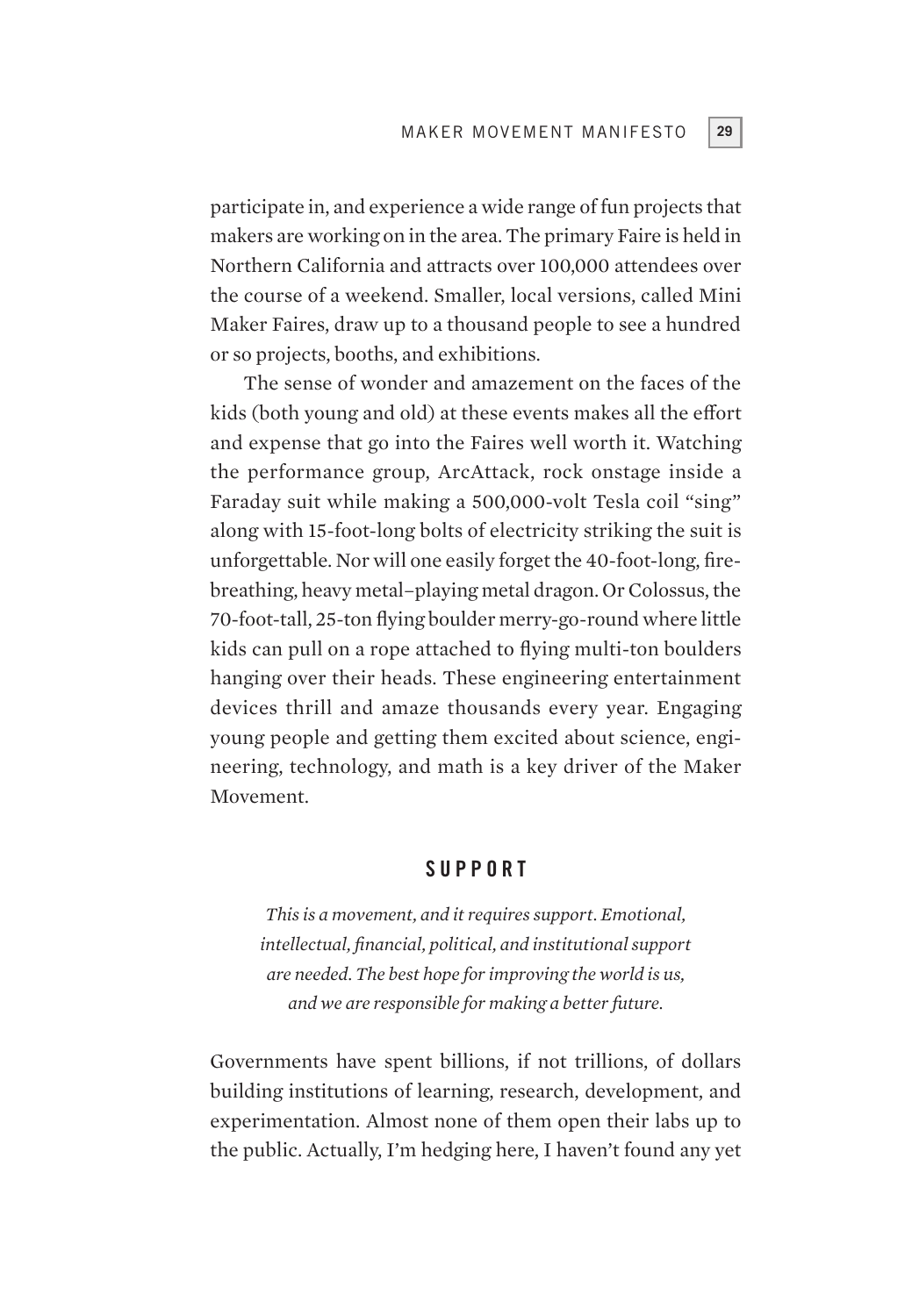participate in, and experience a wide range of fun projects that makers are working on in the area. The primary Faire is held in Northern California and attracts over 100,000 attendees over the course of a weekend. Smaller, local versions, called Mini Maker Faires, draw up to a thousand people to see a hundred or so projects, booths, and exhibitions.

The sense of wonder and amazement on the faces of the kids (both young and old) at these events makes all the effort and expense that go into the Faires well worth it. Watching the performance group, ArcAttack, rock onstage inside a Faraday suit while making a 500,000-volt Tesla coil "sing" along with 15-foot-long bolts of electricity striking the suit is unforgettable. Nor will one easily forget the 40-foot-long, firebreathing, heavy metal–playing metal dragon. Or Colossus, the 70-foot-tall, 25-ton flying boulder merry-go-round where little kids can pull on a rope attached to flying multi-ton boulders hanging over their heads. These engineering entertainment devices thrill and amaze thousands every year. Engaging young people and getting them excited about science, engineering, technology, and math is a key driver of the Maker Movement.

### **SUPPORT**

*This is a movement, and it requires support. Emotional, intellectual, financial, political, and institutional support are needed. The best hope for improving the world is us, and we are responsible for making a better future.*

Governments have spent billions, if not trillions, of dollars building institutions of learning, research, development, and experimentation. Almost none of them open their labs up to the public. Actually, I'm hedging here, I haven't found any yet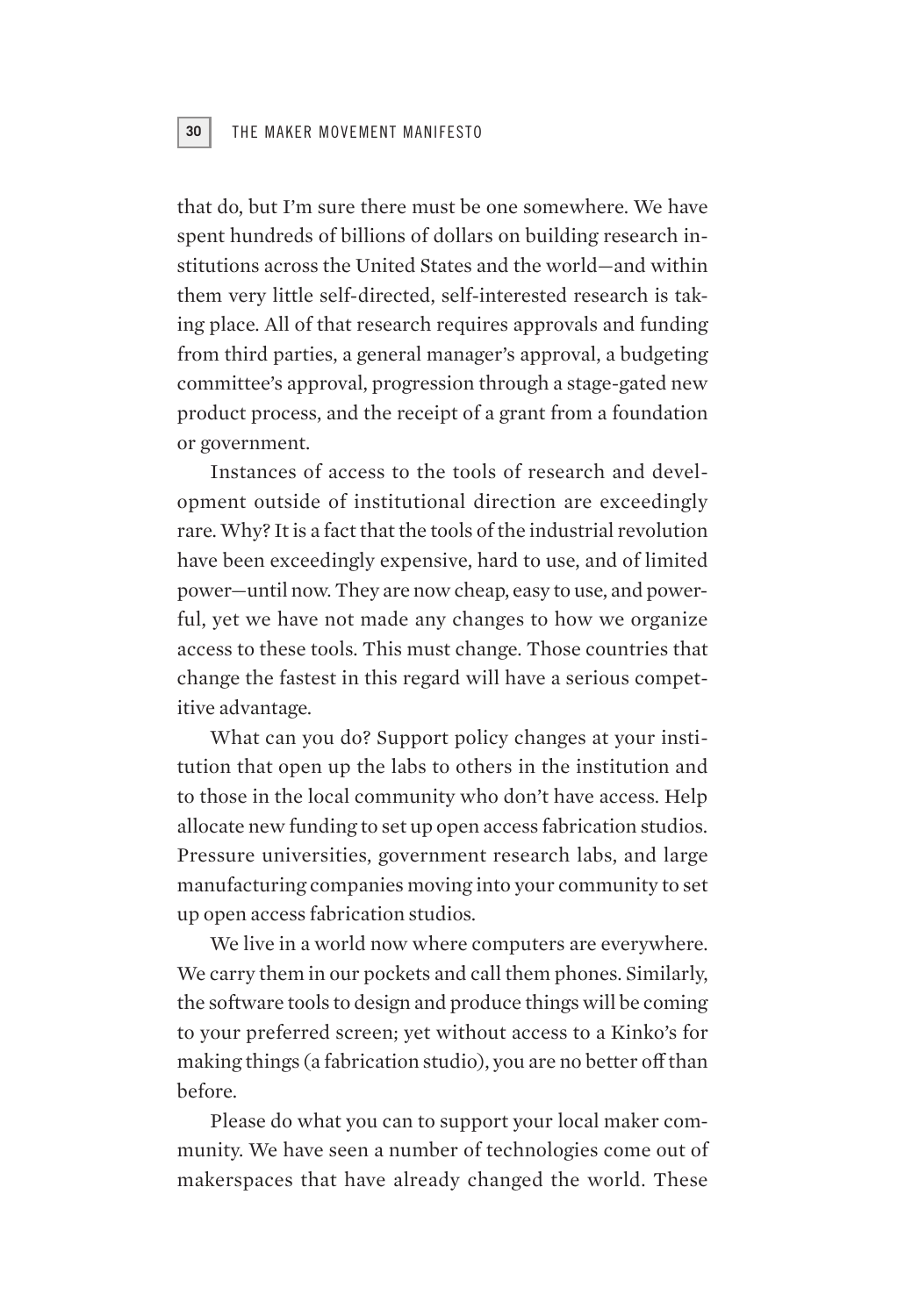that do, but I'm sure there must be one somewhere. We have spent hundreds of billions of dollars on building research institutions across the United States and the world—and within them very little self-directed, self-interested research is taking place. All of that research requires approvals and funding from third parties, a general manager's approval, a budgeting committee's approval, progression through a stage-gated new product process, and the receipt of a grant from a foundation or government.

Instances of access to the tools of research and development outside of institutional direction are exceedingly rare. Why? It is a fact that the tools of the industrial revolution have been exceedingly expensive, hard to use, and of limited power—until now. They are now cheap, easy to use, and powerful, yet we have not made any changes to how we organize access to these tools. This must change. Those countries that change the fastest in this regard will have a serious competitive advantage.

What can you do? Support policy changes at your institution that open up the labs to others in the institution and to those in the local community who don't have access. Help allocate new funding to set up open access fabrication studios. Pressure universities, government research labs, and large manufacturing companies moving into your community to set up open access fabrication studios.

We live in a world now where computers are everywhere. We carry them in our pockets and call them phones. Similarly, the software tools to design and produce things will be coming to your preferred screen; yet without access to a Kinko's for making things (a fabrication studio), you are no better off than before.

Please do what you can to support your local maker community. We have seen a number of technologies come out of makerspaces that have already changed the world. These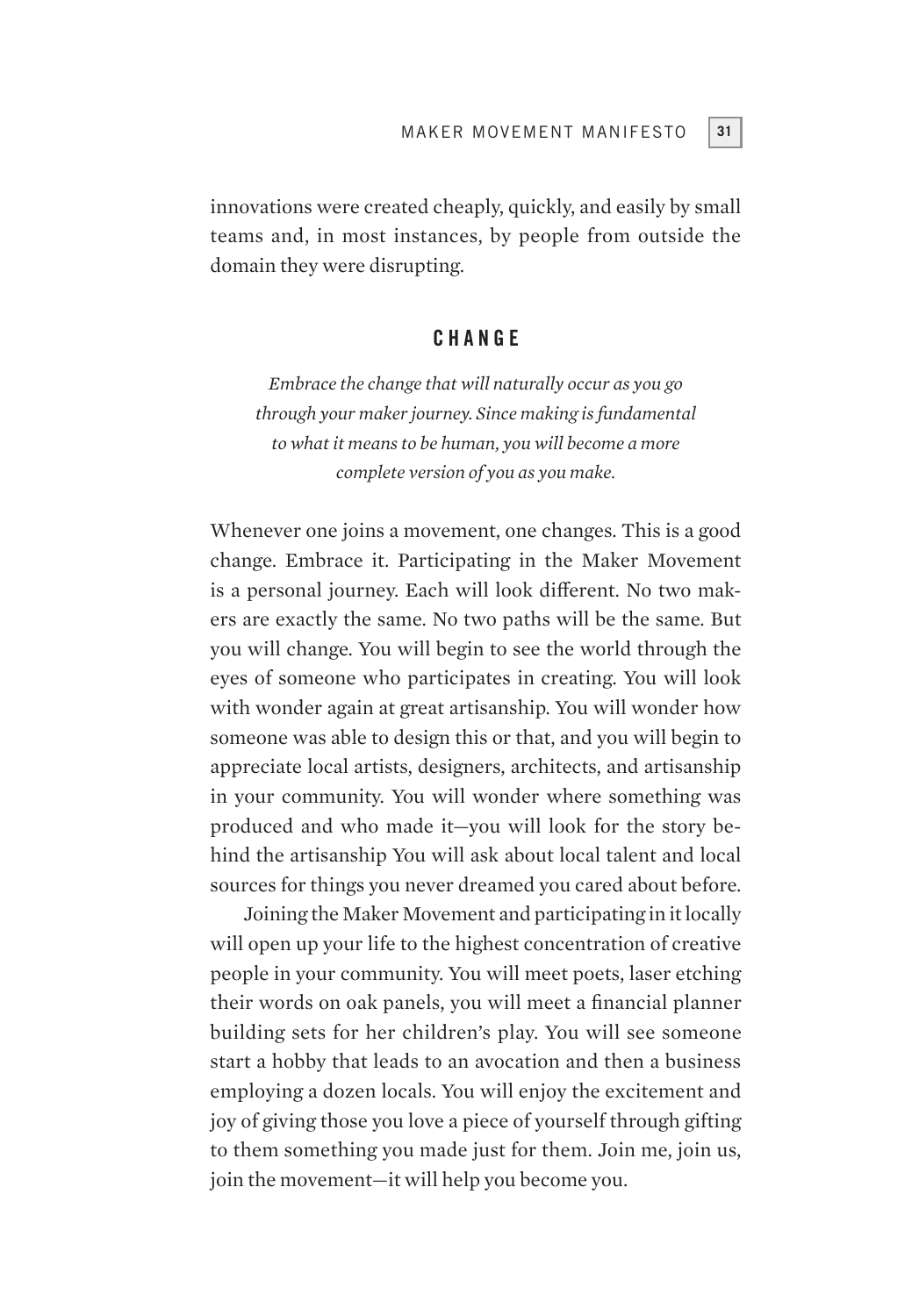innovations were created cheaply, quickly, and easily by small teams and, in most instances, by people from outside the domain they were disrupting.

### CHANGE

*Embrace the change that will naturally occur as you go through your maker journey. Since making is fundamental to what it means to be human, you will become a more complete version of you as you make.*

Whenever one joins a movement, one changes. This is a good change. Embrace it. Participating in the Maker Movement is a personal journey. Each will look different. No two makers are exactly the same. No two paths will be the same. But you will change. You will begin to see the world through the eyes of someone who participates in creating. You will look with wonder again at great artisanship. You will wonder how someone was able to design this or that, and you will begin to appreciate local artists, designers, architects, and artisanship in your community. You will wonder where something was produced and who made it—you will look for the story behind the artisanship You will ask about local talent and local sources for things you never dreamed you cared about before.

Joining the Maker Movement and participating in it locally will open up your life to the highest concentration of creative people in your community. You will meet poets, laser etching their words on oak panels, you will meet a financial planner building sets for her children's play. You will see someone start a hobby that leads to an avocation and then a business employing a dozen locals. You will enjoy the excitement and joy of giving those you love a piece of yourself through gifting to them something you made just for them. Join me, join us, join the movement—it will help you become you.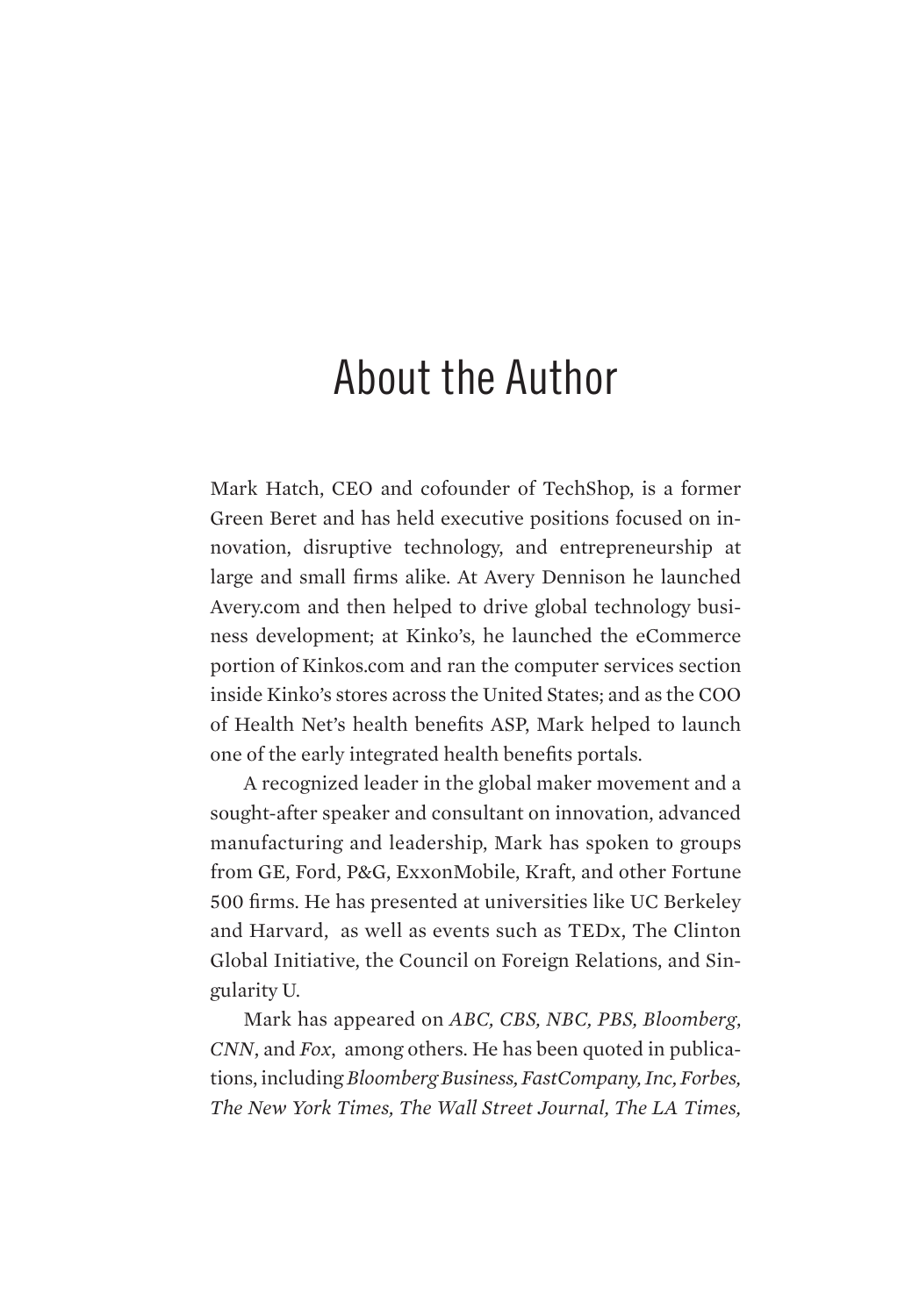## About the Author

Mark Hatch, CEO and cofounder of TechShop, is a former Green Beret and has held executive positions focused on innovation, disruptive technology, and entrepreneurship at large and small firms alike. At Avery Dennison he launched Avery.com and then helped to drive global technology business development; at Kinko's, he launched the eCommerce portion of Kinkos.com and ran the computer services section inside Kinko's stores across the United States; and as the COO of Health Net's health benefits ASP, Mark helped to launch one of the early integrated health benefits portals.

A recognized leader in the global maker movement and a sought-after speaker and consultant on innovation, advanced manufacturing and leadership, Mark has spoken to groups from GE, Ford, P&G, ExxonMobile, Kraft, and other Fortune 500 firms. He has presented at universities like UC Berkeley and Harvard, as well as events such as TEDx, The Clinton Global Initiative, the Council on Foreign Relations, and Singularity U.

Mark has appeared on *ABC, CBS, NBC, PBS, Bloomberg*, *CNN*, and *Fox*, among others*.* He has been quoted in publications, including *Bloomberg Business, FastCompany, Inc, Forbes, The New York Times, The Wall Street Journal, The LA Times,*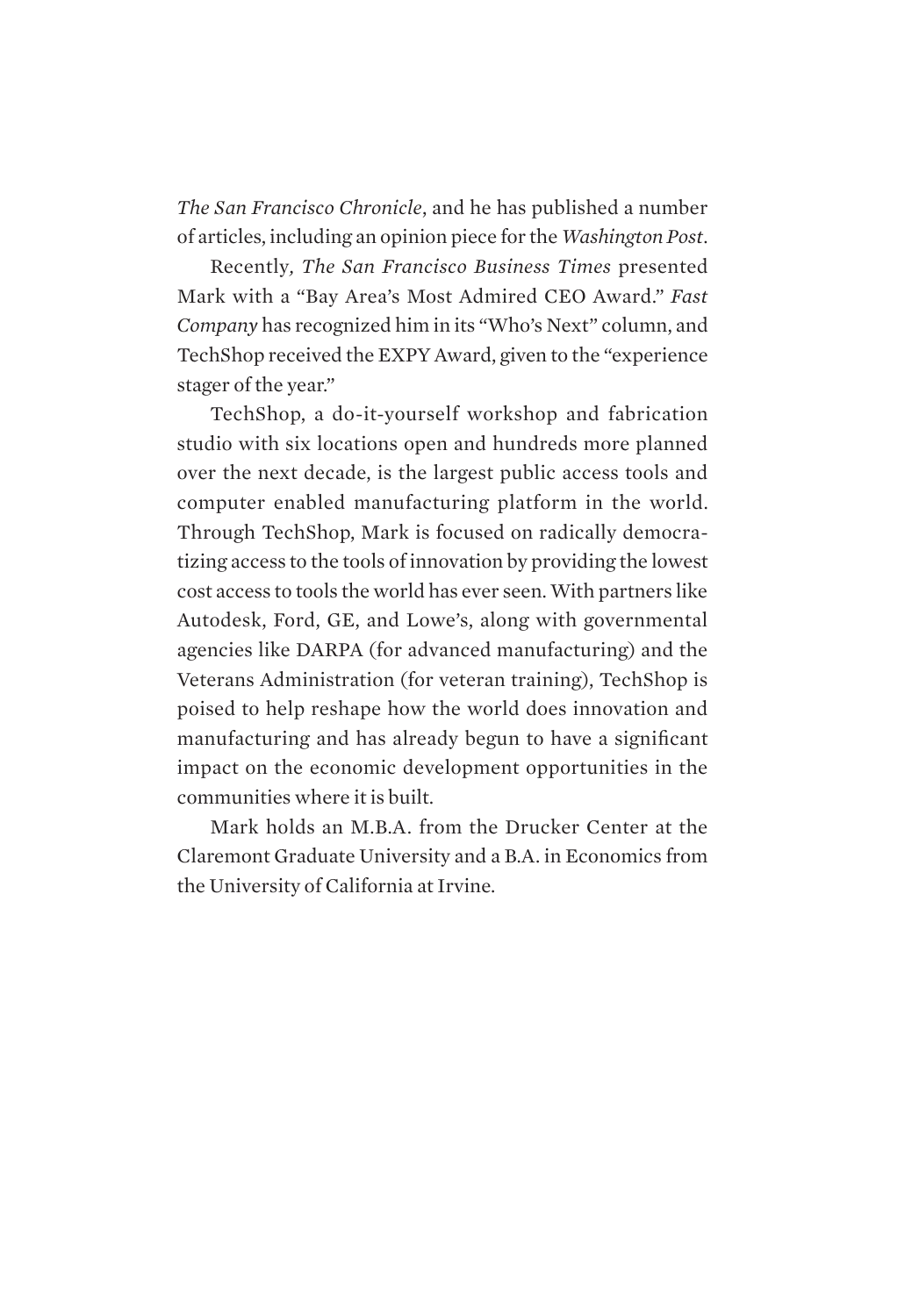*The San Francisco Chronicle*, and he has published a number of articles, including an opinion piece for the *Washington Post*.

Recently*, The San Francisco Business Times* presented Mark with a "Bay Area's Most Admired CEO Award." *Fast Company* has recognized him in its "Who's Next" column, and TechShop received the EXPY Award, given to the "experience stager of the year."

TechShop, a do-it-yourself workshop and fabrication studio with six locations open and hundreds more planned over the next decade, is the largest public access tools and computer enabled manufacturing platform in the world. Through TechShop, Mark is focused on radically democratizing access to the tools of innovation by providing the lowest cost access to tools the world has ever seen. With partners like Autodesk, Ford, GE, and Lowe's, along with governmental agencies like DARPA (for advanced manufacturing) and the Veterans Administration (for veteran training), TechShop is poised to help reshape how the world does innovation and manufacturing and has already begun to have a significant impact on the economic development opportunities in the communities where it is built.

Mark holds an M.B.A. from the Drucker Center at the Claremont Graduate University and a B.A. in Economics from the University of California at Irvine.